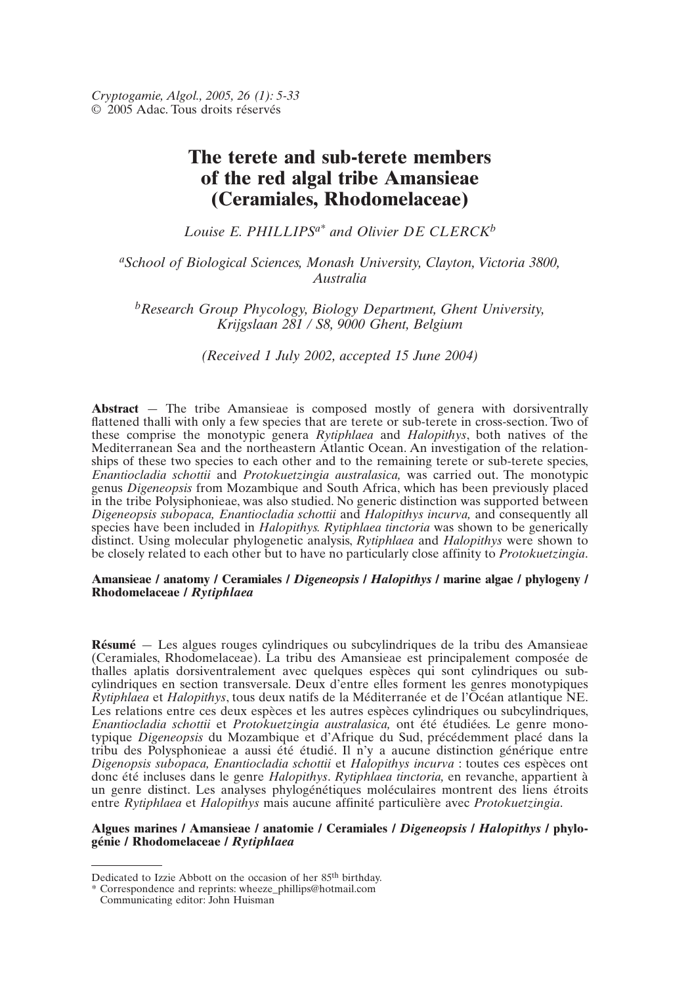# **The terete and sub-terete members of the red algal tribe Amansieae (Ceramiales, Rhodomelaceae)**

*Louise E. PHILLIPSa\* and Olivier DE CLERCKb*

# *aSchool of Biological Sciences, Monash University, Clayton, Victoria 3800, Australia*

*bResearch Group Phycology, Biology Department, Ghent University, Krijgslaan 281 / S8, 9000 Ghent, Belgium*

*(Received 1 July 2002, accepted 15 June 2004)*

**Abstract** — The tribe Amansieae is composed mostly of genera with dorsiventrally flattened thalli with only a few species that are terete or sub-terete in cross-section. Two of these comprise the monotypic genera *Rytiphlaea* and *Halopithys*, both natives of the Mediterranean Sea and the northeastern Atlantic Ocean. An investigation of the relationships of these two species to each other and to the remaining terete or sub-terete species, *Enantiocladia schottii* and *Protokuetzingia australasica,* was carried out. The monotypic genus *Digeneopsis* from Mozambique and South Africa, which has been previously placed in the tribe Polysiphonieae, was also studied. No generic distinction was supported between *Digeneopsis subopaca, Enantiocladia schottii* and *Halopithys incurva,* and consequently all species have been included in *Halopithys. Rytiphlaea tinctoria* was shown to be generically distinct. Using molecular phylogenetic analysis, *Rytiphlaea* and *Halopithys* were shown to be closely related to each other but to have no particularly close affinity to *Protokuetzingia*.

## **Amansieae / anatomy / Ceramiales /** *Digeneopsis* **/** *Halopithys* **/ marine algae / phylogeny / Rhodomelaceae /** *Rytiphlaea*

**Résumé** — Les algues rouges cylindriques ou subcylindriques de la tribu des Amansieae (Ceramiales, Rhodomelaceae). La tribu des Amansieae est principalement composée de thalles aplatis dorsiventralement avec quelques espèces qui sont cylindriques ou subcylindriques en section transversale. Deux d'entre elles forment les genres monotypiques *Rytiphlaea* et *Halopithys*, tous deux natifs de la Méditerranée et de l'Océan atlantique NE. Les relations entre ces deux espèces et les autres espèces cylindriques ou subcylindriques, *Enantiocladia schottii* et *Protokuetzingia australasica,* ont été étudiées. Le genre monotypique *Digeneopsis* du Mozambique et d'Afrique du Sud, précédemment placé dans la tribu des Polysphonieae a aussi été étudié. Il n'y a aucune distinction générique entre *Digenopsis subopaca, Enantiocladia schottii* et *Halopithys incurva* : toutes ces espèces ont donc été incluses dans le genre *Halopithys*. *Rytiphlaea tinctoria,* en revanche, appartient à un genre distinct. Les analyses phylogénétiques moléculaires montrent des liens étroits entre *Rytiphlaea* et *Halopithys* mais aucune affinité particulière avec *Protokuetzingia*.

#### **Algues marines / Amansieae / anatomie / Ceramiales /** *Digeneopsis* **/** *Halopithys* **/ phylogénie / Rhodomelaceae /** *Rytiphlaea*

Dedicated to Izzie Abbott on the occasion of her 85th birthday.

<sup>\*</sup> Correspondence and reprints: wheeze\_phillips@hotmail.com

Communicating editor: John Huisman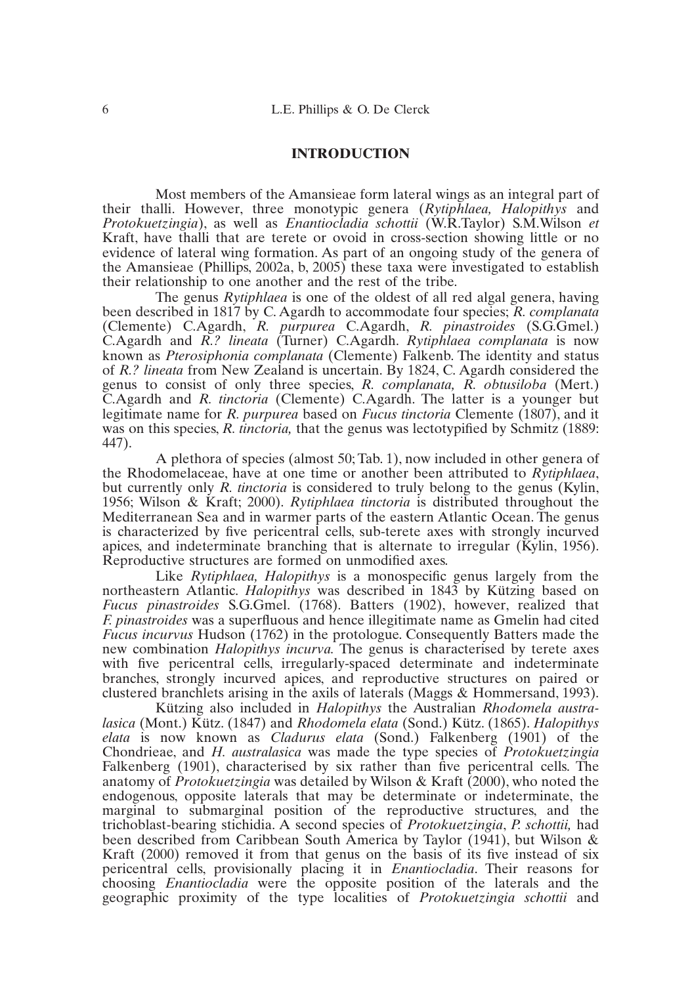# **INTRODUCTION**

Most members of the Amansieae form lateral wings as an integral part of their thalli. However, three monotypic genera (*Rytiphlaea, Halopithys* and *Protokuetzingia*), as well as *Enantiocladia schottii* (W.R.Taylor) S.M.Wilson *et* Kraft, have thalli that are terete or ovoid in cross-section showing little or no evidence of lateral wing formation. As part of an ongoing study of the genera of the Amansieae (Phillips, 2002a, b, 2005) these taxa were investigated to establish their relationship to one another and the rest of the tribe.

The genus *Rytiphlaea* is one of the oldest of all red algal genera, having been described in 1817 by C. Agardh to accommodate four species; *R. complanata* (Clemente) C.Agardh, *R. purpurea* C.Agardh, *R. pinastroides* (S.G.Gmel.) C.Agardh and *R.? lineata* (Turner) C.Agardh. *Rytiphlaea complanata* is now known as *Pterosiphonia complanata* (Clemente) Falkenb. The identity and status of *R.? lineata* from New Zealand is uncertain. By 1824, C. Agardh considered the genus to consist of only three species, *R. complanata, R. obtusiloba* (Mert.) C.Agardh and *R. tinctoria* (Clemente) C.Agardh. The latter is a younger but legitimate name for *R. purpurea* based on *Fucus tinctoria* Clemente (1807), and it was on this species, *R. tinctoria*, that the genus was lectotypified by Schmitz (1889: 447).

A plethora of species (almost 50; Tab. 1), now included in other genera of the Rhodomelaceae, have at one time or another been attributed to *Rytiphlaea*, but currently only *R. tinctoria* is considered to truly belong to the genus (Kylin, 1956; Wilson & Kraft; 2000). *Rytiphlaea tinctoria* is distributed throughout the Mediterranean Sea and in warmer parts of the eastern Atlantic Ocean. The genus is characterized by five pericentral cells, sub-terete axes with strongly incurved apices, and indeterminate branching that is alternate to irregular (Kylin, 1956). Reproductive structures are formed on unmodified axes.

Like *Rytiphlaea, Halopithys* is a monospecific genus largely from the northeastern Atlantic. *Halopithys* was described in 1843 by Kützing based on *Fucus pinastroides* S.G.Gmel. (1768). Batters (1902), however, realized that *F. pinastroides* was a superfluous and hence illegitimate name as Gmelin had cited *Fucus incurvus* Hudson (1762) in the protologue. Consequently Batters made the new combination *Halopithys incurva.* The genus is characterised by terete axes with five pericentral cells, irregularly-spaced determinate and indeterminate branches, strongly incurved apices, and reproductive structures on paired or clustered branchlets arising in the axils of laterals (Maggs & Hommersand, 1993).

Kützing also included in *Halopithys* the Australian *Rhodomela australasica* (Mont.) Kütz. (1847) and *Rhodomela elata* (Sond.) Kütz. (1865). *Halopithys elata* is now known as *Cladurus elata* (Sond.) Falkenberg (1901) of the Chondrieae, and *H. australasica* was made the type species of *Protokuetzingia* Falkenberg (1901), characterised by six rather than five pericentral cells. The anatomy of *Protokuetzingia* was detailed by Wilson & Kraft (2000), who noted the endogenous, opposite laterals that may be determinate or indeterminate, the marginal to submarginal position of the reproductive structures, and the trichoblast-bearing stichidia. A second species of *Protokuetzingia*, *P. schottii,* had been described from Caribbean South America by Taylor (1941), but Wilson & Kraft (2000) removed it from that genus on the basis of its five instead of six pericentral cells, provisionally placing it in *Enantiocladia*. Their reasons for choosing *Enantiocladia* were the opposite position of the laterals and the geographic proximity of the type localities of *Protokuetzingia schottii* and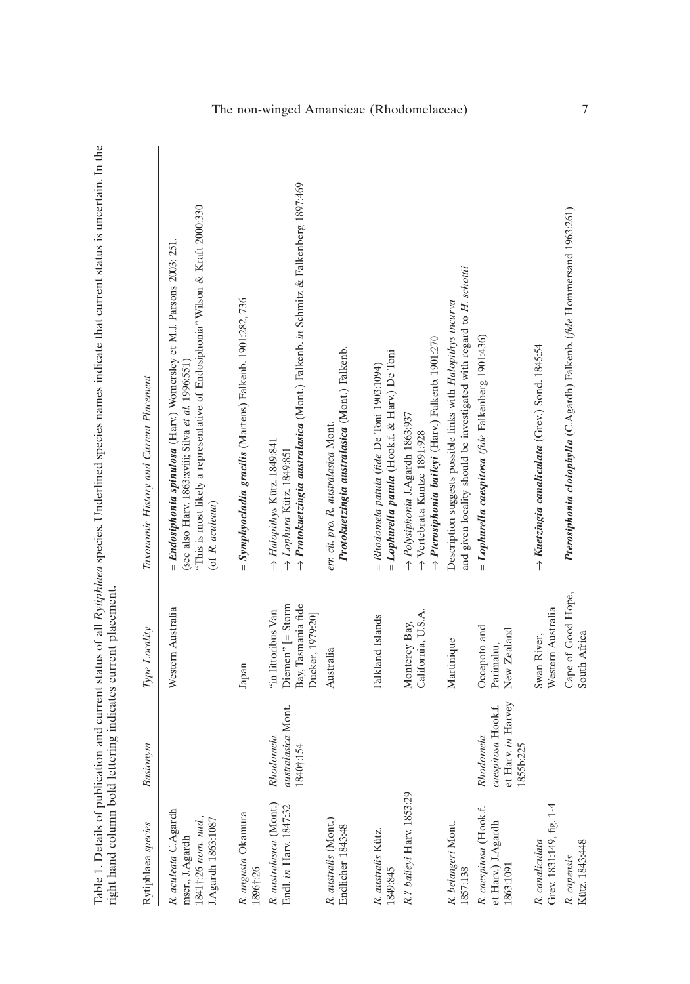| Rytiphlaea species                                                                  | Basionym                                                           | Type Locality                                                                        | Taxonomic History and Current Placement                                                                                                                                                                                           |
|-------------------------------------------------------------------------------------|--------------------------------------------------------------------|--------------------------------------------------------------------------------------|-----------------------------------------------------------------------------------------------------------------------------------------------------------------------------------------------------------------------------------|
| R. aculeata C.Agardh<br>1841†:26 nom. nud.,<br>.Agardh 1863:1087<br>mscr., J.Agardh |                                                                    | Western Australia                                                                    | "This is most likely a representative of Endosiphonia" Wilson & Kraft 2000:330<br>= Endosiphonia spinulosa (Harv.) Womersley et M.J. Parsons 2003: 251.<br>(see also Harv. 1863:xviii; Silva et al. 1996:551)<br>(of R. aculeata) |
| R. angusta Okamura<br>1896†:26                                                      |                                                                    | Japan                                                                                | = Symphyocladia gracilis (Martens) Falkenb. 1901:282, 736                                                                                                                                                                         |
| R. australasica (Mont.)<br>Endl. in Harv. 1847:32                                   | australasica Mont.<br>Rhodomela<br>1840†:154                       | Bay, Tasmania fide<br>$Diemen$ " $[=$ Storm<br>"in littoribus Van<br>Ducker, 1979:20 | -> Protokuetzingia australasica (Mont.) Falkenb. in Schmitz & Falkenberg 1897:469<br>$\rightarrow$ Halopithys Kütz. 1849:841<br>$\rightarrow$ Lophura Kütz. 1849:851                                                              |
| R. australis (Mont.)<br>Endlicher 1843:48                                           |                                                                    | Australia                                                                            | = Protokuetzingia australasica (Mont.) Falkenb.<br>err. cit. pro. R. australasica Mont.                                                                                                                                           |
| R. australis Kütz.<br>849:845                                                       |                                                                    | Falkland Islands                                                                     | $=$ Lophurella patula (Hook.f. & Harv.) De Toni<br>$= Rhodonela$ patula (fide De Toni 1903:1094)                                                                                                                                  |
| R.? baileyi Harv. 1853:29                                                           |                                                                    | California, U.S.A.<br>Monterey Bay,                                                  | → Pterosiphonia baileyi (Harv.) Falkenb. 1901:270<br>$\rightarrow$ Polysiphonia J.Agardh 1863:937<br>→ Vertebrata Kuntze 1891:928                                                                                                 |
| R. belangeri Mont.<br>857:138                                                       |                                                                    | Martinique                                                                           | and given locality should be investigated with regard to H. schottii<br>Description suggests possible links with Halopithys incurva                                                                                               |
| R. caespitosa (Hook.f.<br>et Harv.) J.Agardh<br>1863:1091                           | et Harv. in Harvey<br>caespitosa Hook.f.<br>Rhodomela<br>1855b:225 | Occepoto and<br>New Zealand<br>Parimahu,                                             | $=$ Lophurella caespitosa (fide Falkenberg 1901:436)                                                                                                                                                                              |
| Grev. 1831:149, fig. 1-4<br>R. canaliculata                                         |                                                                    | Western Australia<br>Swan River,                                                     | $\rightarrow$ Kuetzingia canaliculata (Grev.) Sond. 1845:54                                                                                                                                                                       |
| Kütz. 1843:448<br>R. capensis                                                       |                                                                    | Cape of Good Hope,<br>South Africa                                                   | = Pterosiphonia cloiophylla (C.Agardh) Falkenb. (fide Hommersand 1963:261)                                                                                                                                                        |

Table 1. Details of publication and current status of all Rytiphlaea species. Underlined species names indicate that current status is uncertain. In the<br>right hand column bold lettering indicates current placement. Table 1. Details of publication and current status of all *Rytiphlaea* species. Underlined species names indicate that current status is uncertain. In the right hand column bold lettering indicates current placement.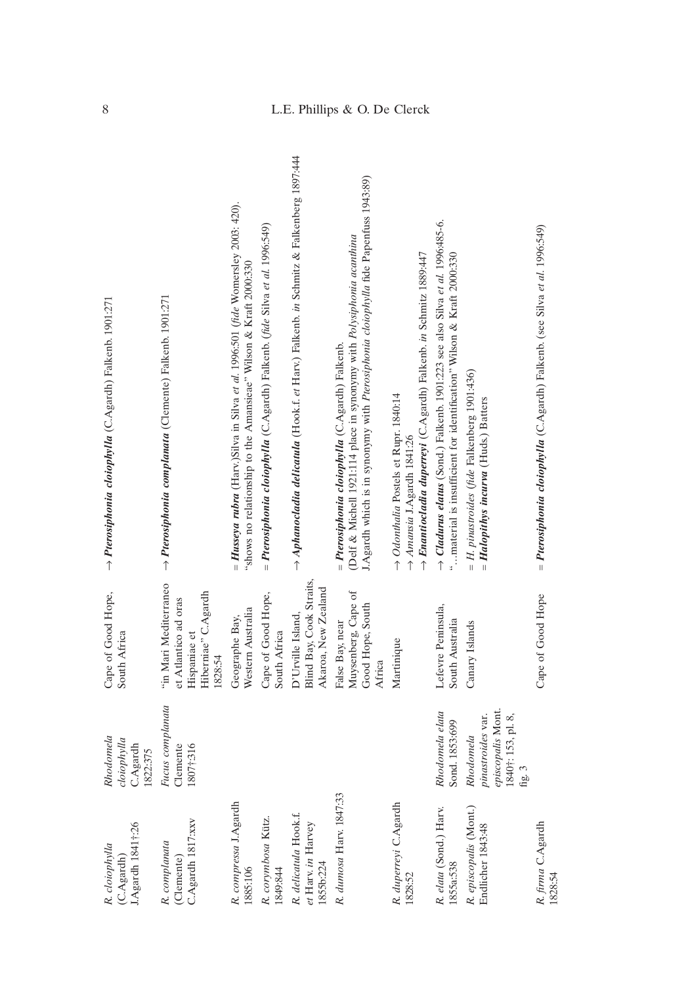| I.Agardh 1841†:26<br>R. cloiophylla<br>$(C.A$ gardh      | Rhodomela<br>cloiophylla<br>C.Agardh<br>1822:375                                    | Cape of Good Hope,<br>South Africa                                                              | → Pterosiphonia cloiophylla (C.Agardh) Falkenb. 1901:271                                                                                                                                                          |
|----------------------------------------------------------|-------------------------------------------------------------------------------------|-------------------------------------------------------------------------------------------------|-------------------------------------------------------------------------------------------------------------------------------------------------------------------------------------------------------------------|
| C.Agardh 1817:xxv<br>R. complanata<br>(Clemente)         | Fucus complanata<br>1807†:316<br>Clemente                                           | "in Mari Mediterraneo<br>Hiberniae" C.Agardh<br>et Atlantico ad oras<br>Hispaniae et<br>1828:54 | → Pterosiphonia complanata (Clemente) Falkenb. 1901:271                                                                                                                                                           |
| R. compressa J.Agardh<br>1885:106                        |                                                                                     | Western Australia<br>Geographe Bay,                                                             | $=$ Husseya rubra (Harv.)Silva in Silva et al. 1996:501 (fide Womersley 2003: 420).<br>"shows no relationship to the Amansieae" Wilson & Kraft 2000:330                                                           |
| R. corymbosa Kütz.<br>1849:844                           |                                                                                     | Cape of Good Hope,<br>South Africa                                                              | = Pterosiphonia cloiophylla (C.Agardh) Falkenb. (fide Silva et al. 1996:549)                                                                                                                                      |
| R. delicatula Hook.f.<br>et Harv. in Harvey<br>1855b:224 |                                                                                     | Blind Bay, Cook Straits,<br>Akaroa, New Zealand<br>D'Urville Island,                            | $\rightarrow$ Aphanocladia delicatula (Hook.f. et Harv.) Falkenb. in Schmitz & Falkenberg 1897:444                                                                                                                |
| R. dumosa Harv. 1847:33                                  |                                                                                     | Muysenberg, Cape of<br>Good Hope, South<br>False Bay, near<br>Africa                            | J.Agardh which is in synonymy with Pterosiphonia cloiophylla fide Papenfuss 1943:89)<br>(Delf & Michell 1921:114 place in synonymy with Polysiphonia acanthina<br>= Pterosiphonia cloiophylla (C.Agardh) Falkenb. |
| R. duperreyi C.Agardh<br>1828:52                         |                                                                                     | Martinique                                                                                      | Brantiocladia duperreyi (C.Agardh) Falkenb. in Schmitz 1889:447<br>→ Odonthalia Postels et Rupr. 1840:14<br>$\rightarrow$ Amansia J.Agardh 1841:26                                                                |
| R. elata (Sond.) Harv.<br>1855a:538                      | Rhodomela elata<br>Sond. 1853:699                                                   | Lefevre Peninsula,<br>South Australia                                                           | $\rightarrow$ Cladurus elatus (Sond.) Falkenb. 1901:223 see also Silva et al. 1996:485-6.<br>"material is insufficient for identification" Wilson & Kraft 2000:330                                                |
| R. episcopalis (Mont.)<br>Endlicher 1843:48              | episcopalis Mont.<br>1840†: 153, pl. 8,<br>pinastroides var.<br>Rhodomela<br>fig. 3 | Canary Islands                                                                                  | $= H.$ pinastroides (fide Falkenberg 1901:436)<br>$= \textit{Halopithys incurva}$ (Huds.) Batters                                                                                                                 |
| R. firma C.Agardh<br>1828:54                             |                                                                                     | Cape of Good Hope                                                                               | = Pterosiphonia cloiophylla (C.Agardh) Falkenb. (see Silva et al. 1996:549)                                                                                                                                       |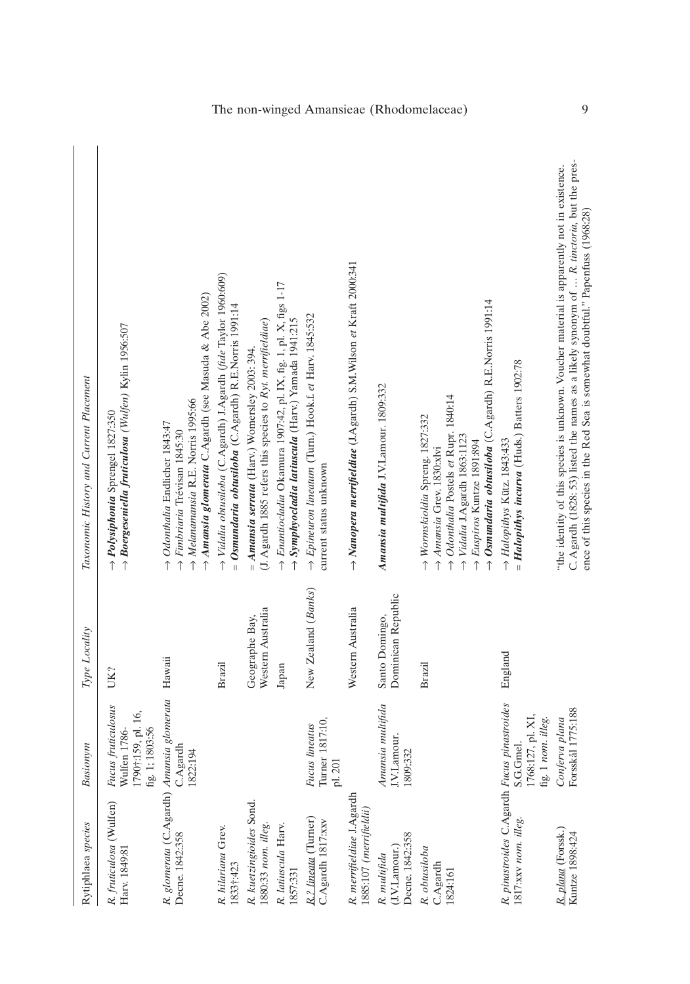| Rytiphlaea species                                                  | Basionym                                                                    | Type Locality                        | Taxonomic History and Current Placement                                                                                                                                                                                                                                   |
|---------------------------------------------------------------------|-----------------------------------------------------------------------------|--------------------------------------|---------------------------------------------------------------------------------------------------------------------------------------------------------------------------------------------------------------------------------------------------------------------------|
| R. fruticulosa (Wulfen)<br>Harv. 1849:81                            | Fucus fruticulosus<br>1790†:159, pl. 16,<br>fig. 1; 1803:56<br>Wulfen 1786- | UK?                                  | $\rightarrow$ Boergeseniella fruticulosa (Wulfen) Kylin 1956:507<br>→ Polysiphonia Sprengel 1827:350                                                                                                                                                                      |
| R. glomerata (C.Agardh) Amansia glomerata Hawaii<br>Decne. 1842:358 | C.Agardh<br>1822:194                                                        |                                      | Amansia glomerata C.Agardh (see Masuda & Abe 2002)<br>$\rightarrow$ Melanamansia R.E. Norris 1995:66<br>$\rightarrow$ Odonthalia Endlicher 1843:47<br>$\rightarrow$ Fimbriaria Trévisan 1845:30                                                                           |
| R. hilariana Grev.<br>1833†:423                                     |                                                                             | Brazil                               | → Vidalia obtusiloba (C.Agardh) J.Agardh (fide Taylor 1960:609)<br>$= Osmundaria obusilo ba (C.Agardh) R.E.Norris 1991:14$                                                                                                                                                |
| R. kuetzingioides Sond.<br>1880:33 nom. illeg.                      |                                                                             | Western Australia<br>Geographe Bay,  | (J. Agardh 1885 refers this species to Ryt. merrifieldiae)<br>$= A$ mansia serrata (Harv.) Womersley 2003: 394.                                                                                                                                                           |
| R. latiuscula Harv.<br>1857:331                                     |                                                                             | Japan                                | $\rightarrow$ Enantiocladia Okamura 1907:42, pl. IX, fig. 1, pl. X, figs 1-17<br>$\rightarrow$ Symphyocladia latiuscula (Harv.) Yamada 1941:215                                                                                                                           |
| R.? lineata (Turner)<br>C.Agardh 1817:xxv                           | Turner 1817:10<br>Fucus lineatus<br>pl. 201                                 | New Zealand (Banks)                  | $\rightarrow$ Epineuron lineatum (Turn.) Hook.f. et Harv. 1845:532<br>current status unknown                                                                                                                                                                              |
| R. merrifieldiae J.Agardh<br>1885:107 (merrifieldii)                |                                                                             | Western Australia                    | → Nanopera merrifieldiae (J.Agardh) S.M.Wilson et Kraft 2000:341                                                                                                                                                                                                          |
| Decne. 1842:358<br>(J.V.Lamour.<br>R. multifida                     | Amansia multifida<br>J.V.Lamour.<br>1809:332                                | Dominican Republic<br>Santo Domingo, | Amansia multifida J.V.Lamour. 1809:332                                                                                                                                                                                                                                    |
| R. obtusiloba<br>C.Agardh<br>1824:161                               |                                                                             | Brazil                               | → Osmundaria obtusiloba (C.Agardh) R.E.Norris 1991:14<br>→ Odonthalia Postels et Rupr. 1840:14<br>$\rightarrow$ Wormskioldia Spreng. 1827:332<br>→ Vidalia J.Agardh 1863:1123<br>$\rightarrow$ Euspiros Kuntze 1891:894<br>Amansia Grev. 1830:xlvi                        |
| R. pinastroides C.Agardh Fucus pinastroides<br>1817:xxv nom. illeg. | 1768:127, pl. XI,<br>fig. 1 $nom.$ illeg.<br>S.G.Gmel.                      | England                              | = Halopithys incurva (Huds.) Batters 1902:78<br>→ Halopithys Kütz. 1843:433                                                                                                                                                                                               |
| R. plana (Forssk.)<br>Kuntze 1898:424                               | Forsskål 1775:188<br>Conferva plana                                         |                                      | C. Agardh (1828: 53) listed the names as a likely synonym of  R. tinctoria, but the pres-<br>"the identity of this species is unknown. Voucher material is apparently not in existence.<br>ence of this species in the Red Sea is somewhat doubtful." Papenfuss (1968:28) |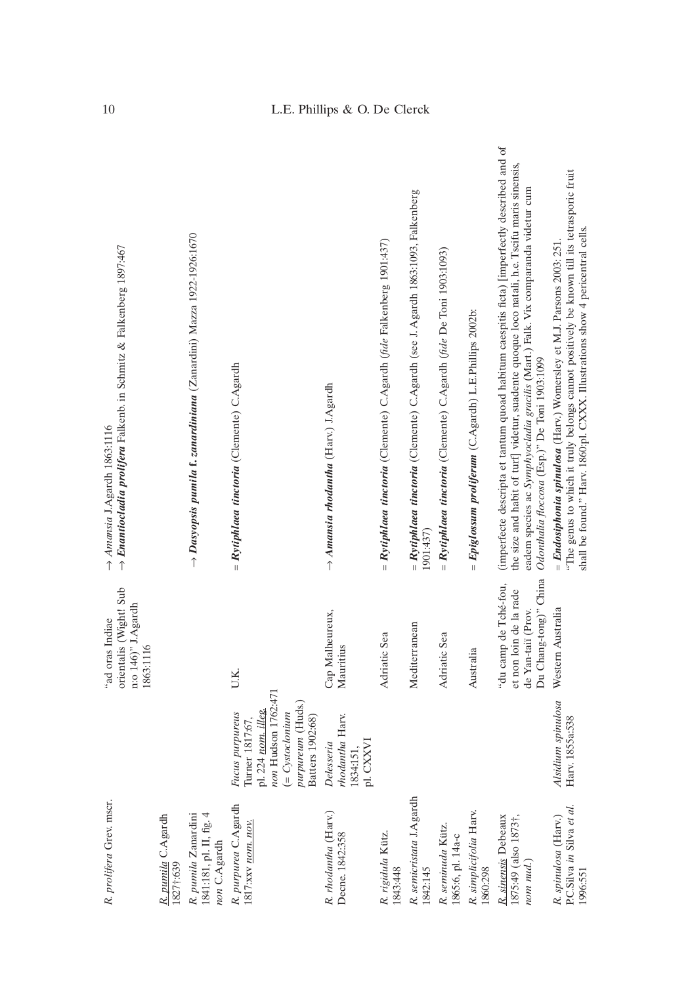| R. prolifera Grev. mscr.                                                    |                                                                                                                                                 | orientalis (Wight! Sub<br>n:o 146)" J.Agardh<br>"ad oras Indiae<br>1863:1116                   | $\rightarrow$ Enantiocladia prolifera Falkenb. in Schmitz & Falkenberg 1897:467<br>Amansia J.Agardh 1863:1116                                                                                                                                                                                                                      |
|-----------------------------------------------------------------------------|-------------------------------------------------------------------------------------------------------------------------------------------------|------------------------------------------------------------------------------------------------|------------------------------------------------------------------------------------------------------------------------------------------------------------------------------------------------------------------------------------------------------------------------------------------------------------------------------------|
| R. pumila C.Agardh<br>1827†:639                                             |                                                                                                                                                 |                                                                                                |                                                                                                                                                                                                                                                                                                                                    |
| 1841:181, pl. II, fig. 4<br>R. pumila Zanardini<br>non C.Agardh             |                                                                                                                                                 |                                                                                                | $\rightarrow$ Dasyopsis pumila f. zanardiniana (Zanardini) Mazza 1922-1926:1670                                                                                                                                                                                                                                                    |
| R. purpurea C.Agardh<br>1817: хх пот. поч.                                  | non Hudson 1762:471<br>purpureum (Huds.)<br>pl. 224 nom. illeg.<br>$( = Cystoclonium$<br>Fucus purpureus<br>Turner 1817:67,<br>Batters 1902:68) | U.K.                                                                                           | $=$ Rytiphlaea tinctoria (Clemente) C.Agardh                                                                                                                                                                                                                                                                                       |
| R. rhodantha (Harv.)<br>Decne. 1842:358                                     | rhodantha Harv.<br>pl. CXXVI<br>Delesseria<br>1834:151,                                                                                         | Cap Malheureux,<br>Mauritius                                                                   | $\rightarrow$ Amansia rhodantha (Harv.) J.Agardh                                                                                                                                                                                                                                                                                   |
| R. rigidula Kütz.<br>1843:448                                               |                                                                                                                                                 | Adriatic Sea                                                                                   | = $Rytiphlaea$ tinctoria (Clemente) C.Agardh (fde Falkenberg 1901:437)                                                                                                                                                                                                                                                             |
| R. semicristata J.Agardh<br>1842:145                                        |                                                                                                                                                 | Mediterranean                                                                                  | = Rytiphlaea tinctoria (Clemente) C.Agardh (see J. Agardh 1863:1093, Falkenberg<br>1901:437)                                                                                                                                                                                                                                       |
| R. seminuda Kütz.<br>1865:6, pl. 14a-c                                      |                                                                                                                                                 | Adriatic Sea                                                                                   | = Rytiphlaea tinctoria (Clemente) C.Agardh (fde De Toni 1903:1093)                                                                                                                                                                                                                                                                 |
| R. simplicifolia Harv.<br>1860:298                                          |                                                                                                                                                 | Australia                                                                                      | = $Epiglossum\ protiferum$ (C.Agardh) L.E.Phillips 2002b:                                                                                                                                                                                                                                                                          |
| R. sinensis Debeaux<br>1875:49 (also 1873†,<br>nom <sub>nu</sub>            |                                                                                                                                                 | Du Chang-tong)" China<br>"du camp de Tché-fou,<br>et non loin de la rade<br>de Yan-taiï (Prov. | (imperfecte descripta et tantum quoad habitum caespitis ficta) [imperfectly described and of<br>the size and habit of turf  videtur, suadente quoque loco natali, h.e. Tscifu maris sinensis,<br>eadem species ac Symphyocladia gracilis (Mart.) Falk. Vix comparanda videtur cum<br>Odonthalia floccosa (Esp.)" De Toni 1903:1099 |
| P.C.Silva <i>in</i> Silva <i>et al.</i><br>1996:551<br>R. spinulosa (Harv.) | Alsidium spinulosa<br>Harv. 1855a:538                                                                                                           | Western Australia                                                                              | "The genus to which it truly belongs cannot positively be known till its tetrasporic fruit<br>shall be found." Harv. 1860:pl. CXXX. Illustrations show 4 pericentral cells.<br>= Endosiphonia spinulosa (Harv.) Womersley et M.J. Parsons 2003: 251.                                                                               |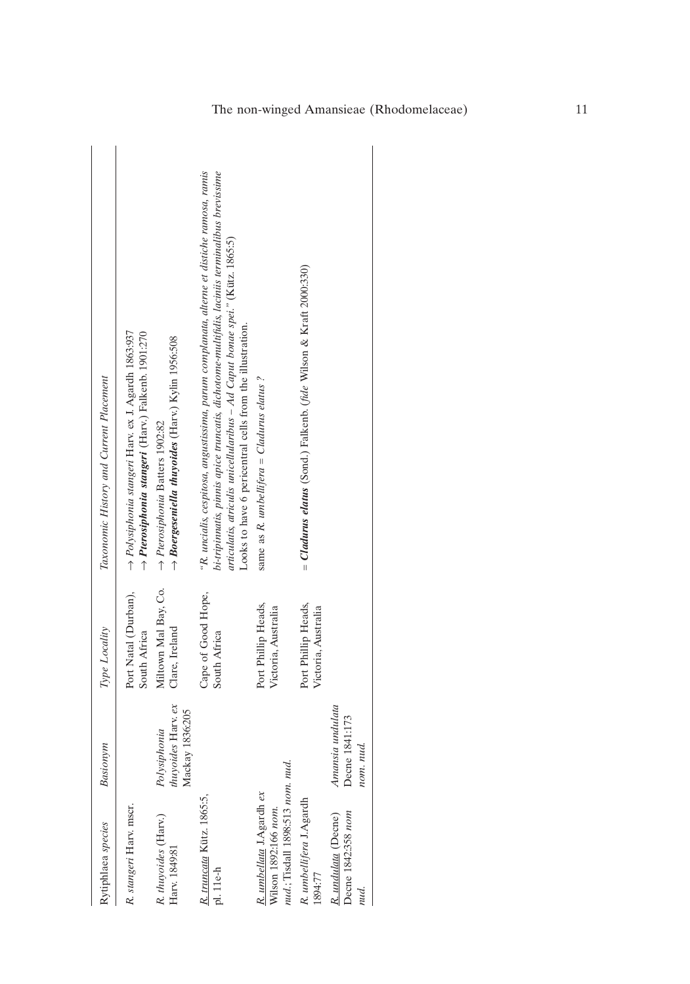| Rytiphlaea species                                                                  | Basionym                                              | Type Locality                              | Taxonomic History and Current Placement                                                                                                                                                                                                                                                                                                   |
|-------------------------------------------------------------------------------------|-------------------------------------------------------|--------------------------------------------|-------------------------------------------------------------------------------------------------------------------------------------------------------------------------------------------------------------------------------------------------------------------------------------------------------------------------------------------|
| R. stangeri Harv. mscr.                                                             |                                                       | Port Natal (Durban),<br>South Africa       | $\rightarrow$ Polysiphonia stangeri Harv. ex J. Agardh 1863:937<br>$\rightarrow$ Pterosiphonia stangeri (Harv.) Falkenb. 1901:270                                                                                                                                                                                                         |
| R. thuyoides (Harv.)<br>Harv. 1849:81                                               | thuyoides Harv. ex<br>Mackay 1836:205<br>Polysiphonia | Miltown Mal Bay, Co.<br>Clare, Ireland     | $\rightarrow$ Boergeseniella thuyoides (Harv.) Kylin 1956:508<br>$\rightarrow$ Pterosiphonia Batters 1902:82                                                                                                                                                                                                                              |
| R. truncata Kütz. 1865:5,<br>pl. 11e-h                                              |                                                       | Cape of Good Hope,<br>South Africa         | "R. uncialis, cespitosa, angustissima, parum complanata, alterne et distiche ramosa, ramis<br>bi-tripinnatis, pinnis apice truncatis, dichotome-multifidis, laciniis terminalibus brevissime<br>articulatis, atriculis unicellularibus - Ad Caput bonae spei." (Kütz. 1865:5)<br>Looks to have 6 pericentral cells from the illustration. |
| nud.; Tisdall 1898:513 nom. nud<br>R. umbellata J.Agardh ex<br>Wilson 1892:166 nom. |                                                       | Port Phillip Heads,<br>Victoria, Australia | same as R. umbellifera = Cladurus elatus?                                                                                                                                                                                                                                                                                                 |
| R. umbellifera J.Agardh<br>1894:77                                                  |                                                       | Port Phillip Heads,<br>Victoria, Australia | = Cladurus elatus (Sond.) Falkenb. (fide Wilson & Kraft 2000:330)                                                                                                                                                                                                                                                                         |
| Decne 1842:358 nom<br>R. undulata (Decne)<br>nud.                                   | Amansia undulata<br>Decne 1841:173<br>nud.<br>nom.    |                                            |                                                                                                                                                                                                                                                                                                                                           |
|                                                                                     |                                                       |                                            |                                                                                                                                                                                                                                                                                                                                           |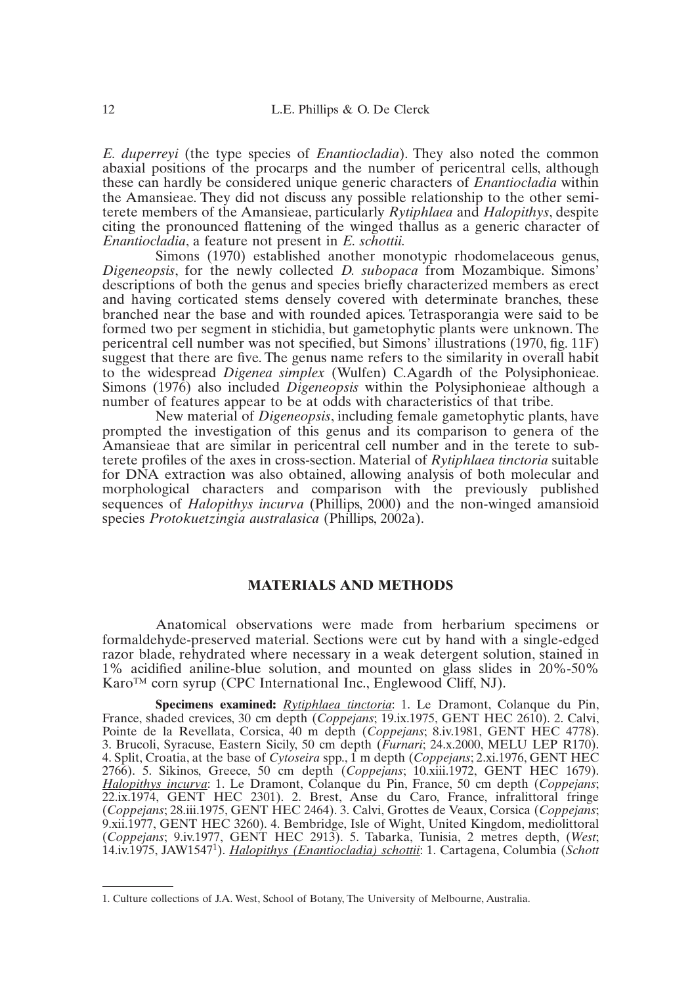*E. duperreyi* (the type species of *Enantiocladia*). They also noted the common abaxial positions of the procarps and the number of pericentral cells, although these can hardly be considered unique generic characters of *Enantiocladia* within the Amansieae. They did not discuss any possible relationship to the other semiterete members of the Amansieae, particularly *Rytiphlaea* and *Halopithys*, despite citing the pronounced flattening of the winged thallus as a generic character of *Enantiocladia*, a feature not present in *E. schottii.*

Simons (1970) established another monotypic rhodomelaceous genus, *Digeneopsis*, for the newly collected *D. subopaca* from Mozambique. Simons' descriptions of both the genus and species briefly characterized members as erect and having corticated stems densely covered with determinate branches, these branched near the base and with rounded apices. Tetrasporangia were said to be formed two per segment in stichidia, but gametophytic plants were unknown. The pericentral cell number was not specified, but Simons' illustrations (1970, fig. 11F) suggest that there are five. The genus name refers to the similarity in overall habit to the widespread *Digenea simplex* (Wulfen) C.Agardh of the Polysiphonieae. Simons (1976) also included *Digeneopsis* within the Polysiphonieae although a number of features appear to be at odds with characteristics of that tribe.

New material of *Digeneopsis*, including female gametophytic plants, have prompted the investigation of this genus and its comparison to genera of the Amansieae that are similar in pericentral cell number and in the terete to subterete profiles of the axes in cross-section. Material of *Rytiphlaea tinctoria* suitable for DNA extraction was also obtained, allowing analysis of both molecular and morphological characters and comparison with the previously published sequences of *Halopithys incurva* (Phillips, 2000) and the non-winged amansioid species *Protokuetzingia australasica* (Phillips, 2002a).

#### **MATERIALS AND METHODS**

Anatomical observations were made from herbarium specimens or formaldehyde-preserved material. Sections were cut by hand with a single-edged razor blade, rehydrated where necessary in a weak detergent solution, stained in 1% acidified aniline-blue solution, and mounted on glass slides in 20%-50% Karo™ corn syrup (CPC International Inc., Englewood Cliff, NJ).

**Specimens examined:** *Rytiphlaea tinctoria*: 1. Le Dramont, Colanque du Pin, France, shaded crevices, 30 cm depth (*Coppejans*; 19.ix.1975, GENT HEC 2610). 2. Calvi, Pointe de la Revellata, Corsica, 40 m depth (*Coppejans*; 8.iv.1981, GENT HEC 4778). 3. Brucoli, Syracuse, Eastern Sicily, 50 cm depth (*Furnari*; 24.x.2000, MELU LEP R170). 4. Split, Croatia, at the base of *Cytoseira* spp., 1 m depth (*Coppejans*; 2.xi.1976, GENT HEC 2766). 5. Sikinos, Greece, 50 cm depth (*Coppejans*; 10.xiii.1972, GENT HEC 1679). *Halopithys incurva*: 1. Le Dramont, Colanque du Pin, France, 50 cm depth (*Coppejans*; 22.ix.1974, GENT HEC 2301). 2. Brest, Anse du Caro, France, infralittoral fringe (*Coppejans*; 28.iii.1975, GENT HEC 2464). 3. Calvi, Grottes de Veaux, Corsica (*Coppejans*; 9.xii.1977, GENT HEC 3260). 4. Bembridge, Isle of Wight, United Kingdom, mediolittoral (*Coppejans*; 9.iv.1977, GENT HEC 2913). 5. Tabarka, Tunisia, 2 metres depth, (*West*; 14.iv.1975, JAW15471). *Halopithys (Enantiocladia) schottii*: 1. Cartagena, Columbia (*Schott*

<sup>1.</sup> Culture collections of J.A. West, School of Botany, The University of Melbourne, Australia.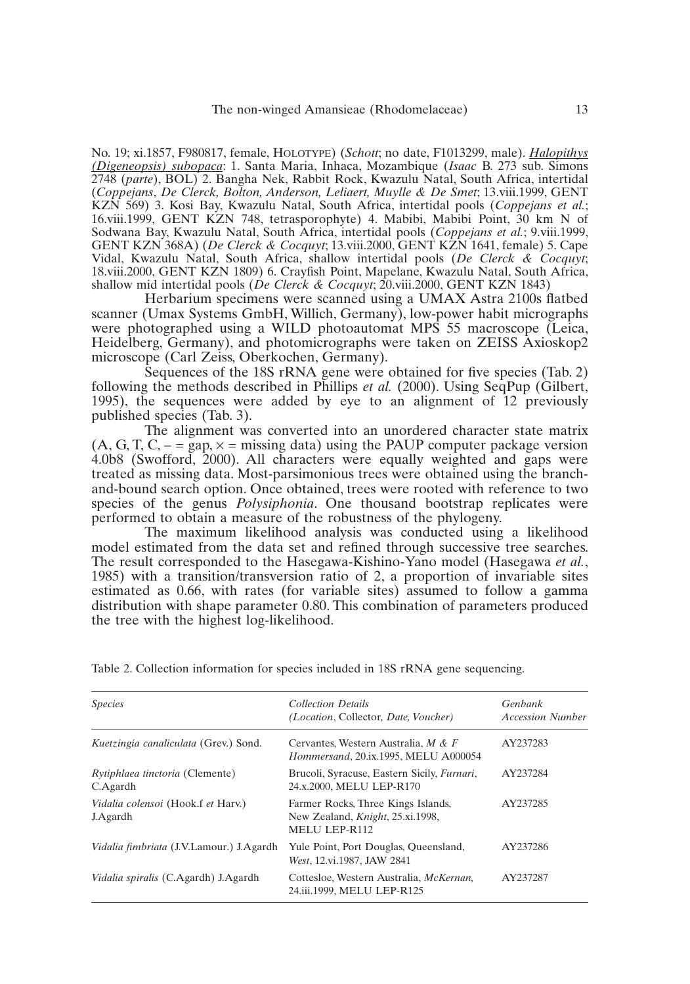No. 19; xi.1857, F980817, female, HOLOTYPE) (*Schott*; no date, F1013299, male). *Halopithys (Digeneopsis) subopaca*: 1. Santa Maria, Inhaca, Mozambique (*Isaac* B. 273 sub. Simons 2748 (*parte*), BOL) 2. Bangha Nek, Rabbit Rock, Kwazulu Natal, South Africa, intertidal (*Coppejans*, *De Clerck, Bolton, Anderson, Leliaert, Muylle & De Smet*; 13.viii.1999, GENT KZN 569) 3. Kosi Bay, Kwazulu Natal, South Africa, intertidal pools (*Coppejans et al.*; 16.viii.1999, GENT KZN 748, tetrasporophyte) 4. Mabibi, Mabibi Point, 30 km N of Sodwana Bay, Kwazulu Natal, South Africa, intertidal pools (*Coppejans et al.*; 9.viii.1999, GENT KZN 368A) (*De Clerck & Cocquyt*; 13.viii.2000, GENT KZN 1641, female) 5. Cape Vidal, Kwazulu Natal, South Africa, shallow intertidal pools (*De Clerck & Cocquyt*; 18.viii.2000, GENT KZN 1809) 6. Crayfish Point, Mapelane, Kwazulu Natal, South Africa, shallow mid intertidal pools (*De Clerck & Cocquyt*; 20.viii.2000, GENT KZN 1843)

Herbarium specimens were scanned using a UMAX Astra 2100s flatbed scanner (Umax Systems GmbH, Willich, Germany), low-power habit micrographs were photographed using a WILD photoautomat MPS 55 macroscope (Leica, Heidelberg, Germany), and photomicrographs were taken on ZEISS Axioskop2 microscope (Carl Zeiss, Oberkochen, Germany).

Sequences of the 18S rRNA gene were obtained for five species (Tab. 2) following the methods described in Phillips *et al.* (2000). Using SeqPup (Gilbert, 1995), the sequences were added by eye to an alignment of 12 previously published species (Tab. 3).

The alignment was converted into an unordered character state matrix (A, G, T, C,  $- = \text{gap} \times = \text{missing data}$ ) using the PAUP computer package version 4.0b8 (Swofford, 2000). All characters were equally weighted and gaps were treated as missing data. Most-parsimonious trees were obtained using the branchand-bound search option. Once obtained, trees were rooted with reference to two species of the genus *Polysiphonia*. One thousand bootstrap replicates were performed to obtain a measure of the robustness of the phylogeny.

The maximum likelihood analysis was conducted using a likelihood model estimated from the data set and refined through successive tree searches. The result corresponded to the Hasegawa-Kishino-Yano model (Hasegawa *et al.*, 1985) with a transition/transversion ratio of 2, a proportion of invariable sites estimated as 0.66, with rates (for variable sites) assumed to follow a gamma distribution with shape parameter 0.80. This combination of parameters produced the tree with the highest log-likelihood.

| <b>Collection Details</b><br>(Location, Collector, Date, Voucher)                               | <b>Genbank</b><br><b>Accession Number</b> |
|-------------------------------------------------------------------------------------------------|-------------------------------------------|
| Cervantes, Western Australia, $M \& F$<br><i>Hommersand, 20.ix.1995, MELU A000054</i>           | AY237283                                  |
| Brucoli, Syracuse, Eastern Sicily, Furnari,<br>24.x.2000, MELU LEP-R170                         | AY237284                                  |
| Farmer Rocks, Three Kings Islands,<br>New Zealand, <i>Knight</i> , 25.xi.1998,<br>MELU LEP-R112 | AY237285                                  |
| Yule Point, Port Douglas, Queensland,<br>West, 12.vi.1987, JAW 2841                             | AY237286                                  |
| Cottesloe, Western Australia, McKernan,<br>24.iii.1999, MELU LEP-R125                           | AY237287                                  |
|                                                                                                 |                                           |

Table 2. Collection information for species included in 18S rRNA gene sequencing.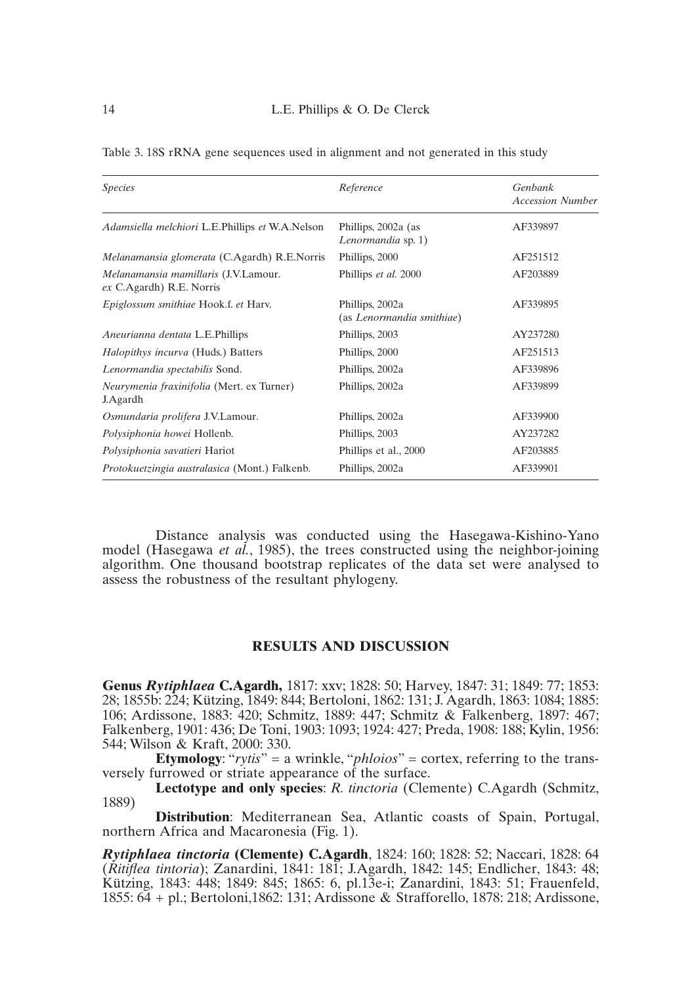| <i>Species</i>                                                   | Reference                                    | Genbank                 |
|------------------------------------------------------------------|----------------------------------------------|-------------------------|
|                                                                  |                                              | <b>Accession Number</b> |
| Adamsiella melchiori L.E.Phillips et W.A.Nelson                  | Phillips, 2002a (as<br>Lenormandia sp. 1)    | AF339897                |
| Melanamansia glomerata (C.Agardh) R.E.Norris                     | Phillips, 2000                               | AF251512                |
| Melanamansia mamillaris (J.V.Lamour.<br>ex C.Agardh) R.E. Norris | Phillips et al. 2000                         | AF203889                |
| Epiglossum smithiae Hook.f. et Harv.                             | Phillips, 2002a<br>(as Lenormandia smithiae) | AF339895                |
| Aneurianna dentata L.E.Phillips                                  | Phillips, 2003                               | AY237280                |
| Halopithys incurva (Huds.) Batters                               | Phillips, 2000                               | AF251513                |
| Lenormandia spectabilis Sond.                                    | Phillips, 2002a                              | AF339896                |
| Neurymenia fraxinifolia (Mert. ex Turner)<br>J.Agardh            | Phillips, 2002a                              | AF339899                |
| Osmundaria prolifera J.V.Lamour.                                 | Phillips, 2002a                              | AF339900                |
| Polysiphonia howei Hollenb.                                      | Phillips, 2003                               | AY237282                |
| Polysiphonia savatieri Hariot                                    | Phillips et al., 2000                        | AF203885                |
| Protokuetzingia australasica (Mont.) Falkenb.                    | Phillips, 2002a                              | AF339901                |

Table 3. 18S rRNA gene sequences used in alignment and not generated in this study

Distance analysis was conducted using the Hasegawa-Kishino-Yano model (Hasegawa *et al.*, 1985), the trees constructed using the neighbor-joining algorithm. One thousand bootstrap replicates of the data set were analysed to assess the robustness of the resultant phylogeny.

#### **RESULTS AND DISCUSSION**

**Genus** *Rytiphlaea* **C.Agardh,** 1817: xxv; 1828: 50; Harvey, 1847: 31; 1849: 77; 1853: 28; 1855b: 224; Kützing, 1849: 844; Bertoloni, 1862: 131; J. Agardh, 1863: 1084; 1885: 106; Ardissone, 1883: 420; Schmitz, 1889: 447; Schmitz & Falkenberg, 1897: 467; Falkenberg, 1901: 436; De Toni, 1903: 1093; 1924: 427; Preda, 1908: 188; Kylin, 1956: 544; Wilson & Kraft, 2000: 330.

**Etymology**: "*rytis*" = a wrinkle, "*phloios*" = cortex, referring to the transversely furrowed or striate appearance of the surface.

**Lectotype and only species**: *R. tinctoria* (Clemente) C.Agardh (Schmitz, 1889)

**Distribution**: Mediterranean Sea, Atlantic coasts of Spain, Portugal, northern Africa and Macaronesia (Fig. 1).

*Rytiphlaea tinctoria* **(Clemente) C.Agardh**, 1824: 160; 1828: 52; Naccari, 1828: 64 (*Ritiflea tintoria*); Zanardini, 1841: 181; J.Agardh, 1842: 145; Endlicher, 1843: 48; Kützing, 1843: 448; 1849: 845; 1865: 6, pl.13e-i; Zanardini, 1843: 51; Frauenfeld, 1855: 64 + pl.; Bertoloni,1862: 131; Ardissone & Strafforello, 1878: 218; Ardissone,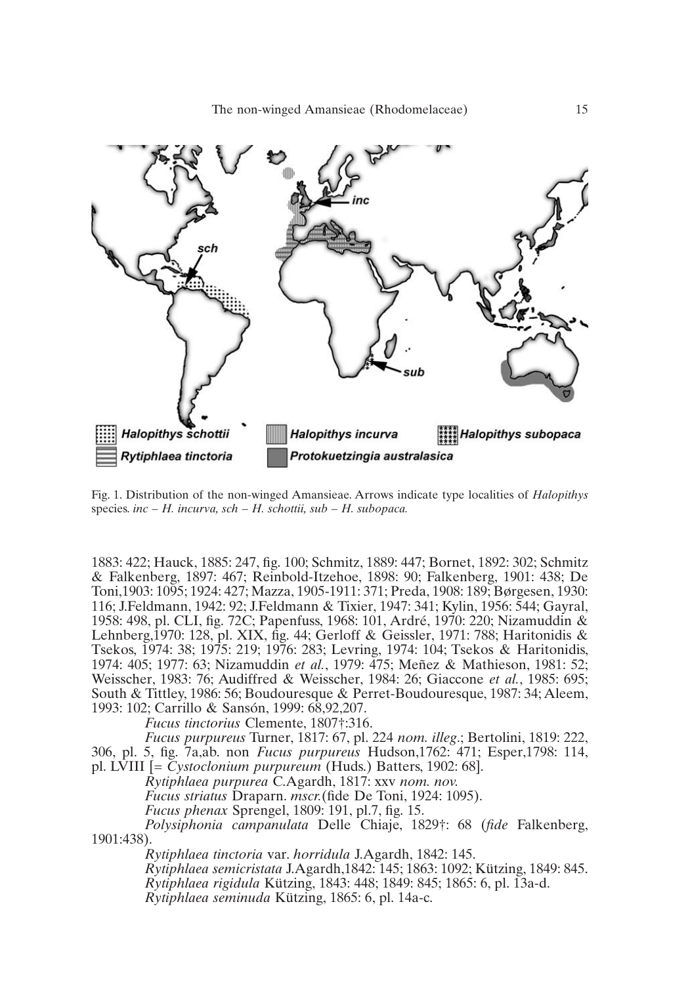

Fig. 1. Distribution of the non-winged Amansieae. Arrows indicate type localities of *Halopithys* species. *inc – H. incurva, sch – H. schottii, sub – H. subopaca.*

1883: 422; Hauck, 1885: 247, fig. 100; Schmitz, 1889: 447; Bornet, 1892: 302; Schmitz & Falkenberg, 1897: 467; Reinbold-Itzehoe, 1898: 90; Falkenberg, 1901: 438; De Toni,1903: 1095; 1924: 427; Mazza, 1905-1911: 371; Preda, 1908: 189; Børgesen, 1930: 116; J.Feldmann, 1942: 92; J.Feldmann & Tixier, 1947: 341; Kylin, 1956: 544; Gayral, 1958: 498, pl. CLI, fig. 72C; Papenfuss, 1968: 101, Ardré, 1970: 220; Nizamuddin & Lehnberg,  $\hat{1}970$ : 128, pl. XIX, fig. 44; Gerloff & Geissler, 1971: 788; Haritonidis & Tsekos, 1974: 38; 1975: 219; 1976: 283; Levring, 1974: 104; Tsekos & Haritonidis, 1974: 405; 1977: 63; Nizamuddin *et al.*, 1979: 475; Meñez & Mathieson, 1981: 52; Weisscher, 1983: 76; Audiffred & Weisscher, 1984: 26; Giaccone *et al.*, 1985: 695; South & Tittley, 1986: 56; Boudouresque & Perret-Boudouresque, 1987: 34; Aleem, 1993: 102; Carrillo & Sansón, 1999: 68,92,207.

*Fucus tinctorius* Clemente, 1807†:316.

*Fucus purpureus* Turner, 1817: 67, pl. 224 *nom. illeg*.; Bertolini, 1819: 222, 306, pl. 5, fig. 7a,ab. non *Fucus purpureus* Hudson,1762: 471; Esper,1798: 114, pl. LVIII [= *Cystoclonium purpureum* (Huds.) Batters, 1902: 68].

*Rytiphlaea purpurea* C.Agardh, 1817: xxv *nom. nov.*

*Fucus striatus* Draparn. *mscr.*(fide De Toni, 1924: 1095).

*Fucus phenax* Sprengel, 1809: 191, pl.7, fig. 15.

*Polysiphonia campanulata* Delle Chiaje, 1829†: 68 (*fide* Falkenberg, 1901:438).

*Rytiphlaea tinctoria* var. *horridula* J.Agardh, 1842: 145. *Rytiphlaea semicristata* J.Agardh,1842: 145; 1863: 1092; Kützing, 1849: 845. *Rytiphlaea rigidula* Kützing, 1843: 448; 1849: 845; 1865: 6, pl. 13a-d. *Rytiphlaea seminuda* Kützing, 1865: 6, pl. 14a-c.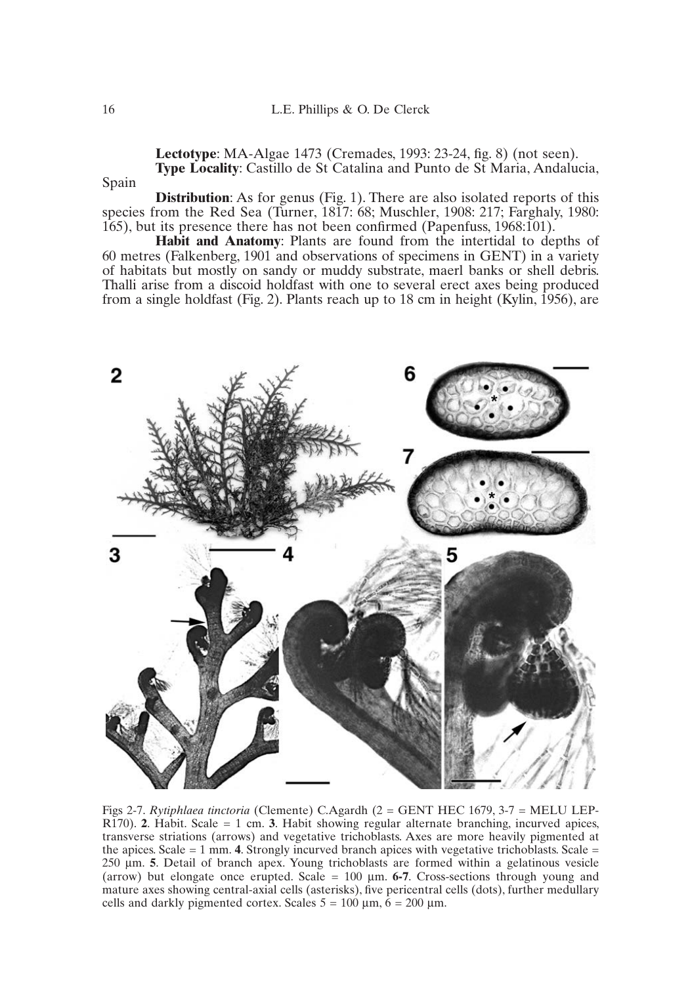**Lectotype**: MA-Algae 1473 (Cremades, 1993: 23-24, fig. 8) (not seen). **Type Locality**: Castillo de St Catalina and Punto de St Maria, Andalucia,

Spain

**Distribution:** As for genus (Fig. 1). There are also isolated reports of this species from the Red Sea (Turner, 1817: 68; Muschler, 1908: 217; Farghaly, 1980: 165), but its presence there has not been confirmed (Papenfuss, 1968:101).

**Habit and Anatomy**: Plants are found from the intertidal to depths of 60 metres (Falkenberg, 1901 and observations of specimens in GENT) in a variety of habitats but mostly on sandy or muddy substrate, maerl banks or shell debris. Thalli arise from a discoid holdfast with one to several erect axes being produced from a single holdfast (Fig. 2). Plants reach up to 18 cm in height (Kylin, 1956), are



Figs 2-7. *Rytiphlaea tinctoria* (Clemente) C.Agardh (2 = GENT HEC 1679, 3-7 = MELU LEP-R170). **2**. Habit. Scale = 1 cm. **3**. Habit showing regular alternate branching, incurved apices, transverse striations (arrows) and vegetative trichoblasts. Axes are more heavily pigmented at the apices. Scale  $= 1$  mm. **4**. Strongly incurved branch apices with vegetative trichoblasts. Scale  $=$ 250 µm. **5**. Detail of branch apex. Young trichoblasts are formed within a gelatinous vesicle (arrow) but elongate once erupted. Scale = 100 µm. **6-7**. Cross-sections through young and mature axes showing central-axial cells (asterisks), five pericentral cells (dots), further medullary cells and darkly pigmented cortex. Scales  $5 = 100 \mu m$ ,  $6 = 200 \mu m$ .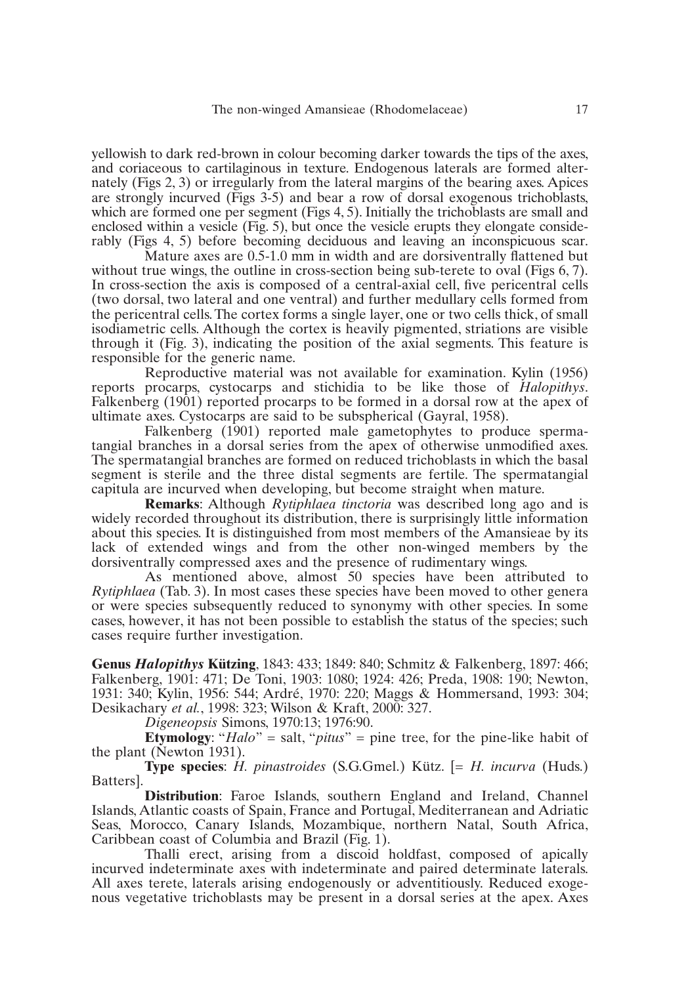yellowish to dark red-brown in colour becoming darker towards the tips of the axes, and coriaceous to cartilaginous in texture. Endogenous laterals are formed alternately (Figs 2, 3) or irregularly from the lateral margins of the bearing axes. Apices are strongly incurved (Figs 3-5) and bear a row of dorsal exogenous trichoblasts, which are formed one per segment (Figs 4, 5). Initially the trichoblasts are small and enclosed within a vesicle (Fig. 5), but once the vesicle erupts they elongate considerably (Figs 4, 5) before becoming deciduous and leaving an inconspicuous scar.

Mature axes are 0.5-1.0 mm in width and are dorsiventrally flattened but without true wings, the outline in cross-section being sub-terete to oval (Figs 6, 7). In cross-section the axis is composed of a central-axial cell, five pericentral cells (two dorsal, two lateral and one ventral) and further medullary cells formed from the pericentral cells. The cortex forms a single layer, one or two cells thick, of small isodiametric cells. Although the cortex is heavily pigmented, striations are visible through it (Fig. 3), indicating the position of the axial segments. This feature is responsible for the generic name.

Reproductive material was not available for examination. Kylin (1956) reports procarps, cystocarps and stichidia to be like those of *Halopithys*. Falkenberg (1901) reported procarps to be formed in a dorsal row at the apex of ultimate axes. Cystocarps are said to be subspherical (Gayral, 1958).

Falkenberg (1901) reported male gametophytes to produce spermatangial branches in a dorsal series from the apex of otherwise unmodified axes. The spermatangial branches are formed on reduced trichoblasts in which the basal segment is sterile and the three distal segments are fertile. The spermatangial capitula are incurved when developing, but become straight when mature.

**Remarks**: Although *Rytiphlaea tinctoria* was described long ago and is widely recorded throughout its distribution, there is surprisingly little information about this species. It is distinguished from most members of the Amansieae by its lack of extended wings and from the other non-winged members by the dorsiventrally compressed axes and the presence of rudimentary wings.

As mentioned above, almost 50 species have been attributed to *Rytiphlaea* (Tab. 3). In most cases these species have been moved to other genera or were species subsequently reduced to synonymy with other species. In some cases, however, it has not been possible to establish the status of the species; such cases require further investigation.

**Genus** *Halopithys* **Kützing**, 1843: 433; 1849: 840; Schmitz & Falkenberg, 1897: 466; Falkenberg, 1901: 471; De Toni, 1903: 1080; 1924: 426; Preda, 1908: 190; Newton, 1931: 340; Kylin, 1956: 544; Ardré, 1970: 220; Maggs & Hommersand, 1993: 304; Desikachary *et al.*, 1998: 323; Wilson & Kraft, 2000: 327.

*Digeneopsis* Simons, 1970:13; 1976:90.

**Etymology**: "*Halo*" = salt, "*pitus*" = pine tree, for the pine-like habit of the plant (Newton 1931).

**Type species**: *H. pinastroides* (S.G.Gmel.) Kütz. [= *H. incurva* (Huds.) Batters].

**Distribution**: Faroe Islands, southern England and Ireland, Channel Islands, Atlantic coasts of Spain, France and Portugal, Mediterranean and Adriatic Seas, Morocco, Canary Islands, Mozambique, northern Natal, South Africa, Caribbean coast of Columbia and Brazil (Fig. 1).

Thalli erect, arising from a discoid holdfast, composed of apically incurved indeterminate axes with indeterminate and paired determinate laterals. All axes terete, laterals arising endogenously or adventitiously. Reduced exogenous vegetative trichoblasts may be present in a dorsal series at the apex. Axes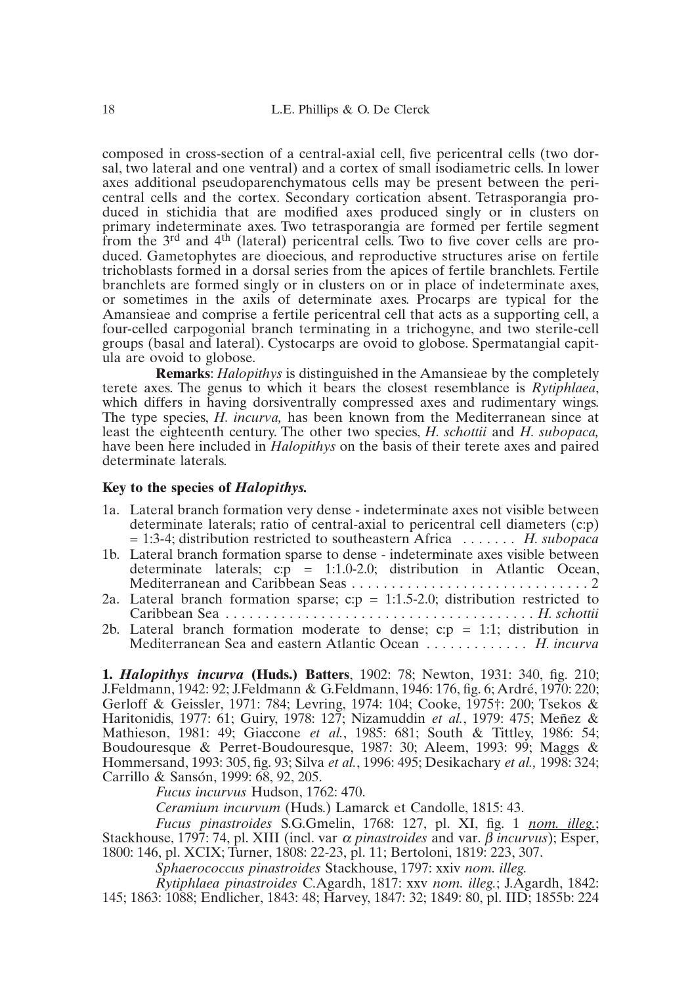composed in cross-section of a central-axial cell, five pericentral cells (two dorsal, two lateral and one ventral) and a cortex of small isodiametric cells. In lower axes additional pseudoparenchymatous cells may be present between the pericentral cells and the cortex. Secondary cortication absent. Tetrasporangia produced in stichidia that are modified axes produced singly or in clusters on primary indeterminate axes. Two tetrasporangia are formed per fertile segment from the 3rd and 4th (lateral) pericentral cells. Two to five cover cells are produced. Gametophytes are dioecious, and reproductive structures arise on fertile trichoblasts formed in a dorsal series from the apices of fertile branchlets. Fertile branchlets are formed singly or in clusters on or in place of indeterminate axes, or sometimes in the axils of determinate axes. Procarps are typical for the Amansieae and comprise a fertile pericentral cell that acts as a supporting cell, a four-celled carpogonial branch terminating in a trichogyne, and two sterile-cell groups (basal and lateral). Cystocarps are ovoid to globose. Spermatangial capitula are ovoid to globose.

**Remarks**: *Halopithys* is distinguished in the Amansieae by the completely terete axes. The genus to which it bears the closest resemblance is *Rytiphlaea*, which differs in having dorsiventrally compressed axes and rudimentary wings. The type species, *H. incurva,* has been known from the Mediterranean since at least the eighteenth century. The other two species, *H. schottii* and *H. subopaca,* have been here included in *Halopithys* on the basis of their terete axes and paired determinate laterals.

# **Key to the species of** *Halopithys.*

- 1a. Lateral branch formation very dense indeterminate axes not visible between determinate laterals; ratio of central-axial to pericentral cell diameters (c:p) = 1:3-4; distribution restricted to southeastern Africa . . . . . . . *H. subopaca*
- 1b. Lateral branch formation sparse to dense indeterminate axes visible between determinate laterals;  $c:\vec{p} = 1:1.0-2.0$ ; distribution in Atlantic Ocean, Mediterranean and Caribbean Seas . . . . . . . . . . . . . . . . . . . . . . . . . . . . . . 2
- 2a. Lateral branch formation sparse;  $c:p = 1:1.5-2.0$ ; distribution restricted to Caribbean Sea . . . . . . . . . . . . . . . . . . . . . . . . . . . . . . . . . . . . . . . *H. schottii*
- 2b. Lateral branch formation moderate to dense;  $c:p = 1:1$ ; distribution in Mediterranean Sea and eastern Atlantic Ocean . . . . . . . . . . . . . *H. incurva*

**1.** *Halopithys incurva* **(Huds.) Batters**, 1902: 78; Newton, 1931: 340, fig. 210; J.Feldmann, 1942: 92; J.Feldmann & G.Feldmann, 1946: 176, fig. 6; Ardré, 1970: 220; Gerloff & Geissler, 1971: 784; Levring, 1974: 104; Cooke, 1975†: 200; Tsekos & Haritonidis, 1977: 61; Guiry, 1978: 127; Nizamuddin *et al.*, 1979: 475; Meñez & Mathieson, 1981: 49; Giaccone *et al.*, 1985: 681; South & Tittley, 1986: 54; Boudouresque & Perret-Boudouresque, 1987: 30; Aleem, 1993: 99; Maggs & Hommersand, 1993: 305, fig. 93; Silva *et al.*, 1996: 495; Desikachary *et al.,* 1998: 324; Carrillo & Sansón, 1999: 68, 92, 205.

*Fucus incurvus* Hudson, 1762: 470.

*Ceramium incurvum* (Huds.) Lamarck et Candolle, 1815: 43.

*Fucus pinastroides* S.G.Gmelin, 1768: 127, pl. XI, fig. 1 *nom. illeg.*; Stackhouse, 1797: 74, pl. XIII (incl. var <sup>α</sup> *pinastroides* and var. β *incurvus*); Esper, 1800: 146, pl. XCIX; Turner, 1808: 22-23, pl. 11; Bertoloni, 1819: 223, 307.

*Sphaerococcus pinastroides* Stackhouse, 1797: xxiv *nom. illeg.*

*Rytiphlaea pinastroides* C.Agardh, 1817: xxv *nom. illeg.*; J.Agardh, 1842: 145; 1863: 1088; Endlicher, 1843: 48; Harvey, 1847: 32; 1849: 80, pl. IID; 1855b: 224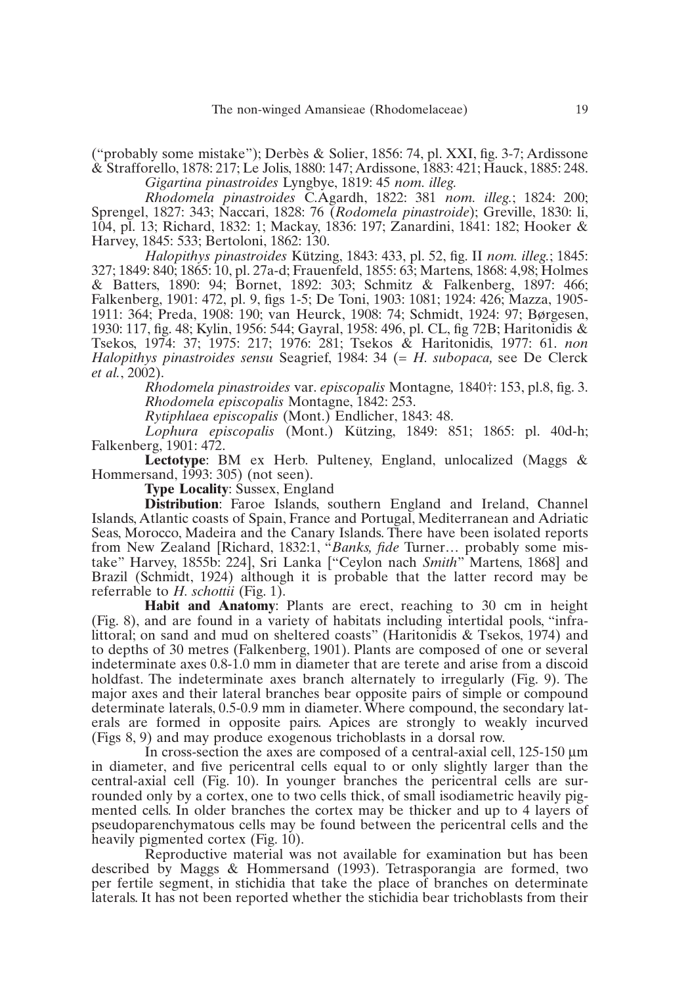("probably some mistake"); Derbès & Solier, 1856: 74, pl. XXI, fig. 3-7; Ardissone & Strafforello, 1878: 217; Le Jolis, 1880: 147; Ardissone, 1883: 421; Hauck, 1885: 248. *Gigartina pinastroides* Lyngbye, 1819: 45 *nom. illeg.*

*Rhodomela pinastroides* C.Agardh, 1822: 381 *nom. illeg.*; 1824: 200; Sprengel, 1827: 343; Naccari, 1828: 76 (*Rodomela pinastroide*); Greville, 1830: li, 104, pl. 13; Richard, 1832: 1; Mackay, 1836: 197; Zanardini, 1841: 182; Hooker & Harvey, 1845: 533; Bertoloni, 1862: 130.

*Halopithys pinastroides* Kützing, 1843: 433, pl. 52, fig. II *nom. illeg.*; 1845: 327; 1849: 840; 1865: 10, pl. 27a-d; Frauenfeld, 1855: 63; Martens, 1868: 4,98; Holmes & Batters, 1890: 94; Bornet, 1892: 303; Schmitz & Falkenberg, 1897: 466; Falkenberg, 1901: 472, pl. 9, figs 1-5; De Toni, 1903: 1081; 1924: 426; Mazza, 1905- 1911: 364; Preda, 1908: 190; van Heurck, 1908: 74; Schmidt, 1924: 97; Børgesen, 1930: 117, fig. 48; Kylin, 1956: 544; Gayral, 1958: 496, pl. CL, fig 72B; Haritonidis & Tsekos, 1974: 37; 1975: 217; 1976: 281; Tsekos & Haritonidis, 1977: 61. *non Halopithys pinastroides sensu* Seagrief, 1984: 34 (= *H. subopaca,* see De Clerck *et al.*, 2002).

> *Rhodomela pinastroides* var. *episcopalis* Montagne*,* 1840†: 153, pl.8, fig. 3. *Rhodomela episcopalis* Montagne, 1842: 253.

*Rytiphlaea episcopalis* (Mont.) Endlicher, 1843: 48.

*Lophura episcopalis* (Mont.) Kützing, 1849: 851; 1865: pl. 40d-h; Falkenberg, 1901: 472.

**Lectotype**: BM ex Herb. Pulteney, England, unlocalized (Maggs & Hommersand, 1993: 305) (not seen).

**Type Locality**: Sussex, England

**Distribution**: Faroe Islands, southern England and Ireland, Channel Islands, Atlantic coasts of Spain, France and Portugal, Mediterranean and Adriatic Seas, Morocco, Madeira and the Canary Islands. There have been isolated reports from New Zealand [Richard, 1832:1, "*Banks, fide* Turner… probably some mistake" Harvey, 1855b: 224], Sri Lanka ["Ceylon nach *Smith*" Martens, 1868] and Brazil (Schmidt, 1924) although it is probable that the latter record may be referrable to *H. schottii* (Fig. 1).

**Habit and Anatomy**: Plants are erect, reaching to 30 cm in height (Fig. 8), and are found in a variety of habitats including intertidal pools, "infralittoral; on sand and mud on sheltered coasts" (Haritonidis & Tsekos, 1974) and to depths of 30 metres (Falkenberg, 1901). Plants are composed of one or several indeterminate axes 0.8-1.0 mm in diameter that are terete and arise from a discoid holdfast. The indeterminate axes branch alternately to irregularly (Fig. 9). The major axes and their lateral branches bear opposite pairs of simple or compound determinate laterals, 0.5-0.9 mm in diameter. Where compound, the secondary laterals are formed in opposite pairs. Apices are strongly to weakly incurved (Figs 8, 9) and may produce exogenous trichoblasts in a dorsal row.

In cross-section the axes are composed of a central-axial cell, 125-150  $\mu$ m in diameter, and five pericentral cells equal to or only slightly larger than the central-axial cell (Fig. 10). In younger branches the pericentral cells are surrounded only by a cortex, one to two cells thick, of small isodiametric heavily pigmented cells. In older branches the cortex may be thicker and up to 4 layers of pseudoparenchymatous cells may be found between the pericentral cells and the heavily pigmented cortex (Fig. 10).

Reproductive material was not available for examination but has been described by Maggs & Hommersand (1993). Tetrasporangia are formed, two per fertile segment, in stichidia that take the place of branches on determinate laterals. It has not been reported whether the stichidia bear trichoblasts from their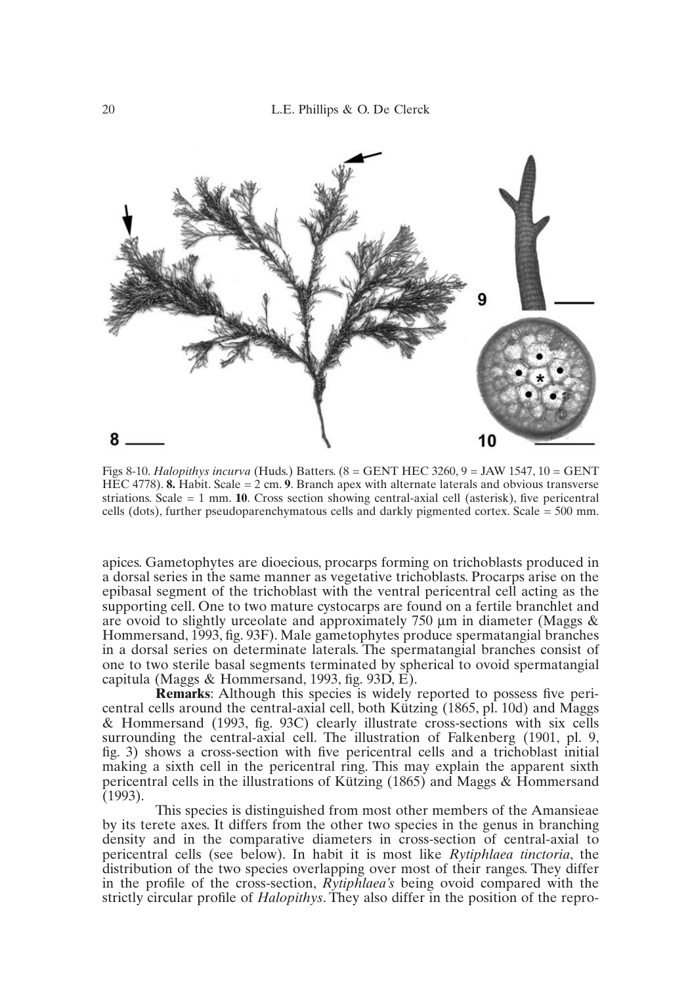

Figs 8-10. *Halopithys incurva* (Huds.) Batters. (8 = GENT HEC 3260, 9 = JAW 1547, 10 = GENT HEC 4778). **8.** Habit. Scale = 2 cm. **9**. Branch apex with alternate laterals and obvious transverse striations. Scale = 1 mm. **10**. Cross section showing central-axial cell (asterisk), five pericentral cells (dots), further pseudoparenchymatous cells and darkly pigmented cortex. Scale = 500 mm.

apices. Gametophytes are dioecious, procarps forming on trichoblasts produced in a dorsal series in the same manner as vegetative trichoblasts. Procarps arise on the epibasal segment of the trichoblast with the ventral pericentral cell acting as the supporting cell. One to two mature cystocarps are found on a fertile branchlet and are ovoid to slightly urceolate and approximately  $750 \mu m$  in diameter (Maggs  $\&$ Hommersand, 1993, fig. 93F). Male gametophytes produce spermatangial branches in a dorsal series on determinate laterals. The spermatangial branches consist of one to two sterile basal segments terminated by spherical to ovoid spermatangial capitula (Maggs & Hommersand, 1993, fig. 93D, E).

**Remarks**: Although this species is widely reported to possess five pericentral cells around the central-axial cell, both Kützing (1865, pl. 10d) and Maggs & Hommersand (1993, fig. 93C) clearly illustrate cross-sections with six cells surrounding the central-axial cell. The illustration of Falkenberg (1901, pl. 9, fig. 3) shows a cross-section with five pericentral cells and a trichoblast initial making a sixth cell in the pericentral ring. This may explain the apparent sixth pericentral cells in the illustrations of Kützing (1865) and Maggs & Hommersand (1993).

This species is distinguished from most other members of the Amansieae by its terete axes. It differs from the other two species in the genus in branching density and in the comparative diameters in cross-section of central-axial to pericentral cells (see below). In habit it is most like *Rytiphlaea tinctoria*, the distribution of the two species overlapping over most of their ranges. They differ in the profile of the cross-section, *Rytiphlaea's* being ovoid compared with the strictly circular profile of *Halopithys*. They also differ in the position of the repro-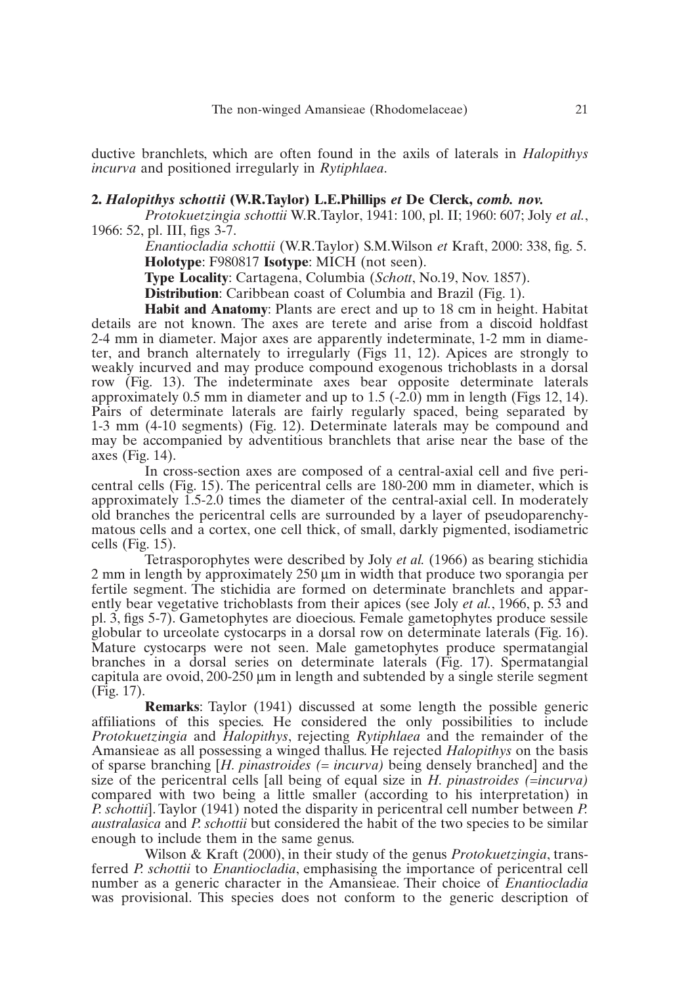ductive branchlets, which are often found in the axils of laterals in *Halopithys incurva* and positioned irregularly in *Rytiphlaea*.

#### **2.** *Halopithys schottii* **(W.R.Taylor) L.E.Phillips** *et* **De Clerck,** *comb. nov.*

*Protokuetzingia schottii* W.R.Taylor, 1941: 100, pl. II; 1960: 607; Joly *et al.*, 1966: 52, pl. III, figs 3-7.

*Enantiocladia schottii* (W.R.Taylor) S.M.Wilson *et* Kraft, 2000: 338, fig. 5. **Holotype**: F980817 **Isotype**: MICH (not seen).

**Type Locality**: Cartagena, Columbia (*Schott*, No.19, Nov. 1857).

**Distribution**: Caribbean coast of Columbia and Brazil (Fig. 1).

**Habit and Anatomy**: Plants are erect and up to 18 cm in height. Habitat details are not known. The axes are terete and arise from a discoid holdfast 2-4 mm in diameter. Major axes are apparently indeterminate, 1-2 mm in diameter, and branch alternately to irregularly (Figs 11, 12). Apices are strongly to weakly incurved and may produce compound exogenous trichoblasts in a dorsal row (Fig. 13). The indeterminate axes bear opposite determinate laterals approximately 0.5 mm in diameter and up to 1.5 (-2.0) mm in length (Figs 12, 14). Pairs of determinate laterals are fairly regularly spaced, being separated by 1-3 mm (4-10 segments) (Fig. 12). Determinate laterals may be compound and may be accompanied by adventitious branchlets that arise near the base of the axes (Fig. 14).

In cross-section axes are composed of a central-axial cell and five pericentral cells (Fig. 15). The pericentral cells are 180-200 mm in diameter, which is approximately 1.5-2.0 times the diameter of the central-axial cell. In moderately old branches the pericentral cells are surrounded by a layer of pseudoparenchymatous cells and a cortex, one cell thick, of small, darkly pigmented, isodiametric cells (Fig. 15).

Tetrasporophytes were described by Joly *et al.* (1966) as bearing stichidia 2 mm in length by approximately 250 µm in width that produce two sporangia per fertile segment. The stichidia are formed on determinate branchlets and apparently bear vegetative trichoblasts from their apices (see Joly *et al.*, 1966, p. 53 and pl. 3, figs 5-7). Gametophytes are dioecious. Female gametophytes produce sessile globular to urceolate cystocarps in a dorsal row on determinate laterals (Fig. 16). Mature cystocarps were not seen. Male gametophytes produce spermatangial branches in a dorsal series on determinate laterals (Fig. 17). Spermatangial capitula are ovoid, 200-250 µm in length and subtended by a single sterile segment (Fig. 17).

**Remarks**: Taylor (1941) discussed at some length the possible generic affiliations of this species. He considered the only possibilities to include *Protokuetzingia* and *Halopithys*, rejecting *Rytiphlaea* and the remainder of the Amansieae as all possessing a winged thallus. He rejected *Halopithys* on the basis of sparse branching [*H. pinastroides (= incurva)* being densely branched] and the size of the pericentral cells [all being of equal size in *H. pinastroides (=incurva)* compared with two being a little smaller (according to his interpretation) in *P. schottii*]. Taylor (1941) noted the disparity in pericentral cell number between *P. australasica* and *P. schottii* but considered the habit of the two species to be similar enough to include them in the same genus.

Wilson & Kraft (2000), in their study of the genus *Protokuetzingia*, transferred *P. schottii* to *Enantiocladia*, emphasising the importance of pericentral cell number as a generic character in the Amansieae. Their choice of *Enantiocladia* was provisional. This species does not conform to the generic description of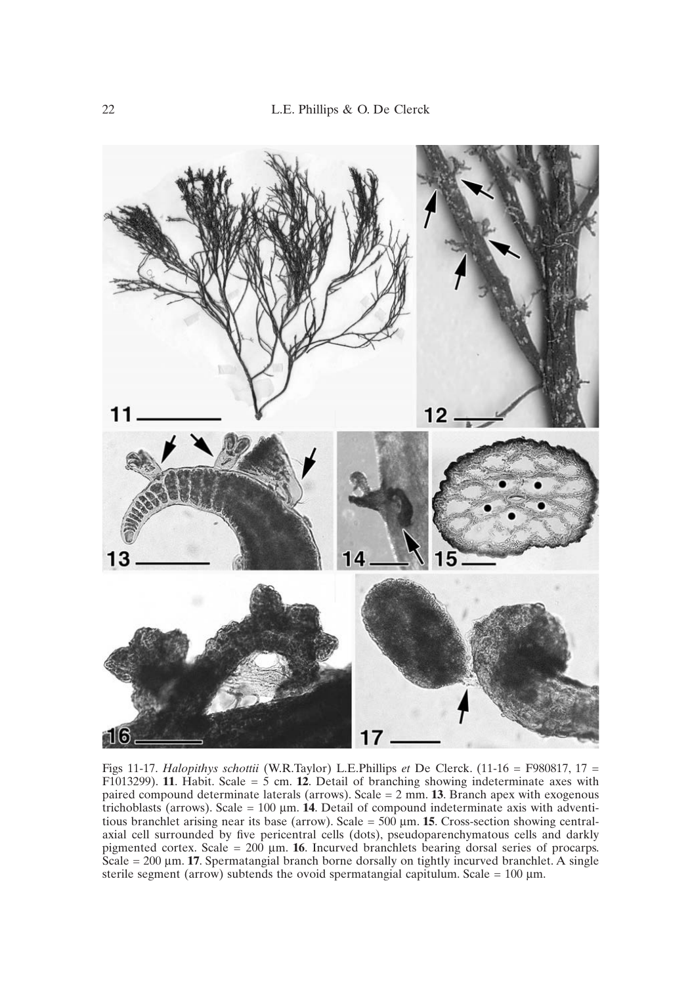

Figs 11-17. *Halopithys schottii* (W.R.Taylor) L.E.Phillips *et* De Clerck. (11-16 = F980817, 17 = F1013299). **11**. Habit. Scale = 5 cm. **12**. Detail of branching showing indeterminate axes with paired compound determinate laterals (arrows). Scale = 2 mm. **13**. Branch apex with exogenous trichoblasts (arrows). Scale =  $100 \mu m$ . **14**. Detail of compound indeterminate axis with adventitious branchlet arising near its base (arrow). Scale =  $500 \mu m$ . **15**. Cross-section showing centralaxial cell surrounded by five pericentral cells (dots), pseudoparenchymatous cells and darkly pigmented cortex. Scale = 200 µm. **16**. Incurved branchlets bearing dorsal series of procarps. Scale = 200 µm. **17**. Spermatangial branch borne dorsally on tightly incurved branchlet. A single sterile segment (arrow) subtends the ovoid spermatangial capitulum. Scale =  $100 \mu m$ .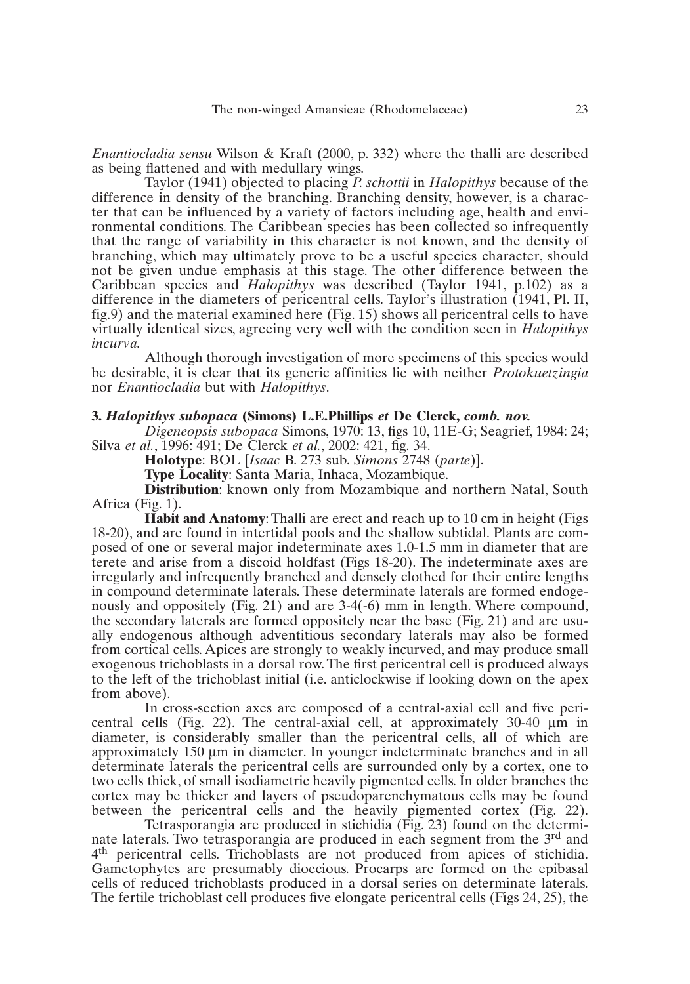*Enantiocladia sensu* Wilson & Kraft (2000, p. 332) where the thalli are described as being flattened and with medullary wings.

Taylor (1941) objected to placing *P. schottii* in *Halopithys* because of the difference in density of the branching. Branching density, however, is a character that can be influenced by a variety of factors including age, health and environmental conditions. The Caribbean species has been collected so infrequently that the range of variability in this character is not known, and the density of branching, which may ultimately prove to be a useful species character, should not be given undue emphasis at this stage. The other difference between the Caribbean species and *Halopithys* was described (Taylor 1941, p.102) as a difference in the diameters of pericentral cells. Taylor's illustration (1941, Pl. II, fig.9) and the material examined here (Fig. 15) shows all pericentral cells to have virtually identical sizes, agreeing very well with the condition seen in *Halopithys incurva.*

Although thorough investigation of more specimens of this species would be desirable, it is clear that its generic affinities lie with neither *Protokuetzingia* nor *Enantiocladia* but with *Halopithys*.

### **3.** *Halopithys subopaca* **(Simons) L.E.Phillips** *et* **De Clerck,** *comb. nov.*

*Digeneopsis subopaca* Simons, 1970: 13, figs 10, 11E-G; Seagrief, 1984: 24; Silva *et al.*, 1996: 491; De Clerck *et al.*, 2002: 421, fig. 34.

**Holotype**: BOL [*Isaac* B. 273 sub. *Simons* 2748 (*parte*)].

**Type Locality**: Santa Maria, Inhaca, Mozambique.

**Distribution**: known only from Mozambique and northern Natal, South Africa (Fig. 1).

**Habit and Anatomy**: Thalli are erect and reach up to 10 cm in height (Figs 18-20), and are found in intertidal pools and the shallow subtidal. Plants are composed of one or several major indeterminate axes 1.0-1.5 mm in diameter that are terete and arise from a discoid holdfast (Figs 18-20). The indeterminate axes are irregularly and infrequently branched and densely clothed for their entire lengths in compound determinate laterals. These determinate laterals are formed endogenously and oppositely (Fig. 21) and are 3-4(-6) mm in length. Where compound, the secondary laterals are formed oppositely near the base (Fig. 21) and are usually endogenous although adventitious secondary laterals may also be formed from cortical cells. Apices are strongly to weakly incurved, and may produce small exogenous trichoblasts in a dorsal row. The first pericentral cell is produced always to the left of the trichoblast initial (i.e. anticlockwise if looking down on the apex from above).

In cross-section axes are composed of a central-axial cell and five pericentral cells (Fig. 22). The central-axial cell, at approximately 30-40 µm in diameter, is considerably smaller than the pericentral cells, all of which are approximately 150 µm in diameter. In younger indeterminate branches and in all determinate laterals the pericentral cells are surrounded only by a cortex, one to two cells thick, of small isodiametric heavily pigmented cells. In older branches the cortex may be thicker and layers of pseudoparenchymatous cells may be found between the pericentral cells and the heavily pigmented cortex (Fig. 22).

Tetrasporangia are produced in stichidia (Fig. 23) found on the determinate laterals. Two tetrasporangia are produced in each segment from the 3<sup>rd</sup> and 4th pericentral cells. Trichoblasts are not produced from apices of stichidia. Gametophytes are presumably dioecious. Procarps are formed on the epibasal cells of reduced trichoblasts produced in a dorsal series on determinate laterals. The fertile trichoblast cell produces five elongate pericentral cells (Figs 24, 25), the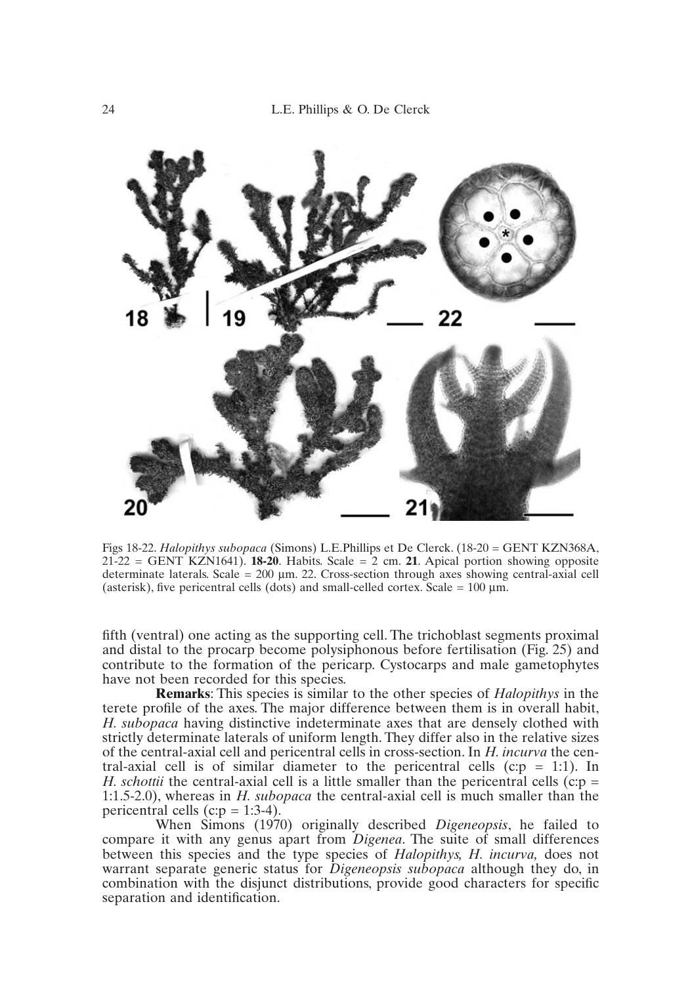

Figs 18-22. *Halopithys subopaca* (Simons) L.E.Phillips et De Clerck. (18-20 = GENT KZN368A,  $21-22 = \text{GENT KZN1641}$ . **18-20**. Habits. Scale = 2 cm. **21**. Apical portion showing opposite determinate laterals. Scale =  $200 \mu m$ . 22. Cross-section through axes showing central-axial cell (asterisk), five pericentral cells (dots) and small-celled cortex. Scale =  $100 \mu m$ .

fifth (ventral) one acting as the supporting cell. The trichoblast segments proximal and distal to the procarp become polysiphonous before fertilisation (Fig. 25) and contribute to the formation of the pericarp. Cystocarps and male gametophytes have not been recorded for this species.

**Remarks**: This species is similar to the other species of *Halopithys* in the terete profile of the axes. The major difference between them is in overall habit, *H. subopaca* having distinctive indeterminate axes that are densely clothed with strictly determinate laterals of uniform length. They differ also in the relative sizes of the central-axial cell and pericentral cells in cross-section. In *H. incurva* the central-axial cell is of similar diameter to the pericentral cells ( $c:p = 1:1$ ). In *H. schottii* the central-axial cell is a little smaller than the pericentral cells ( $c:p =$ 1:1.5-2.0), whereas in *H. subopaca* the central-axial cell is much smaller than the pericentral cells (c: $p = 1:3-4$ ).

When Simons (1970) originally described *Digeneopsis*, he failed to compare it with any genus apart from *Digenea*. The suite of small differences between this species and the type species of *Halopithys, H. incurva,* does not warrant separate generic status for *Digeneopsis subopaca* although they do, in combination with the disjunct distributions, provide good characters for specific separation and identification.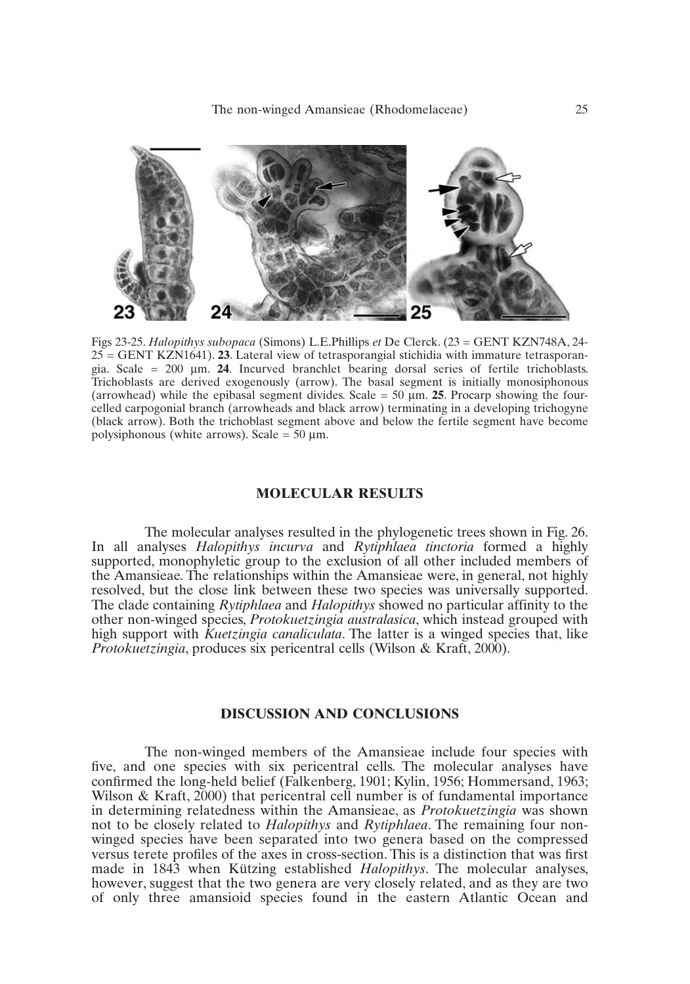

Figs 23-25. *Halopithys subopaca* (Simons) L.E.Phillips *et* De Clerck. (23 = GENT KZN748A, 24- 25 = GENT KZN1641). **23**. Lateral view of tetrasporangial stichidia with immature tetrasporangia. Scale = 200 µm. **24**. Incurved branchlet bearing dorsal series of fertile trichoblasts. Trichoblasts are derived exogenously (arrow). The basal segment is initially monosiphonous (arrowhead) while the epibasal segment divides. Scale  $= 50 \mu m$ . 25. Procarp showing the fourcelled carpogonial branch (arrowheads and black arrow) terminating in a developing trichogyne (black arrow). Both the trichoblast segment above and below the fertile segment have become polysiphonous (white arrows). Scale =  $50 \mu$ m.

# **MOLECULAR RESULTS**

The molecular analyses resulted in the phylogenetic trees shown in Fig. 26. In all analyses *Halopithys incurva* and *Rytiphlaea tinctoria* formed a highly supported, monophyletic group to the exclusion of all other included members of the Amansieae. The relationships within the Amansieae were, in general, not highly resolved, but the close link between these two species was universally supported. The clade containing *Rytiphlaea* and *Halopithys* showed no particular affinity to the other non-winged species, *Protokuetzingia australasica*, which instead grouped with high support with *Kuetzingia canaliculata*. The latter is a winged species that, like *Protokuetzingia*, produces six pericentral cells (Wilson & Kraft, 2000).

# **DISCUSSION AND CONCLUSIONS**

The non-winged members of the Amansieae include four species with five, and one species with six pericentral cells. The molecular analyses have confirmed the long-held belief (Falkenberg, 1901; Kylin, 1956; Hommersand, 1963; Wilson & Kraft, 2000) that pericentral cell number is of fundamental importance in determining relatedness within the Amansieae, as *Protokuetzingia* was shown not to be closely related to *Halopithys* and *Rytiphlaea*. The remaining four nonwinged species have been separated into two genera based on the compressed versus terete profiles of the axes in cross-section. This is a distinction that was first made in 1843 when Kützing established *Halopithys*. The molecular analyses, however, suggest that the two genera are very closely related, and as they are two of only three amansioid species found in the eastern Atlantic Ocean and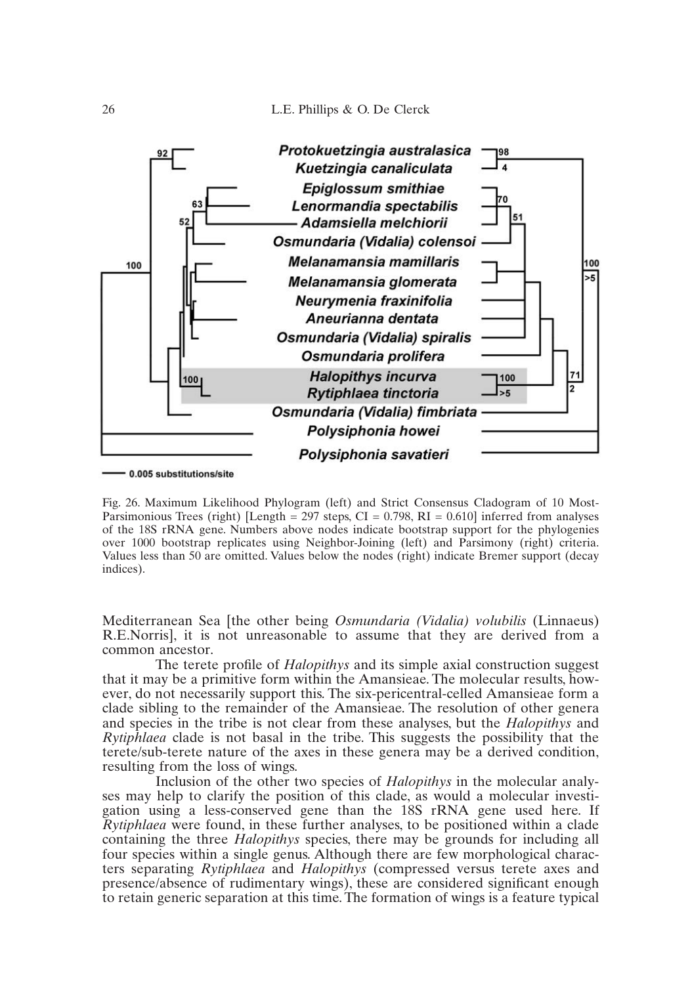

0.005 substitutions/site

Fig. 26. Maximum Likelihood Phylogram (left) and Strict Consensus Cladogram of 10 Most-Parsimonious Trees (right) [Length = 297 steps, CI = 0.798, RI = 0.610] inferred from analyses of the 18S rRNA gene. Numbers above nodes indicate bootstrap support for the phylogenies over 1000 bootstrap replicates using Neighbor-Joining (left) and Parsimony (right) criteria. Values less than 50 are omitted. Values below the nodes (right) indicate Bremer support (decay indices).

Mediterranean Sea [the other being *Osmundaria (Vidalia) volubilis* (Linnaeus) R.E.Norris], it is not unreasonable to assume that they are derived from a common ancestor.

The terete profile of *Halopithys* and its simple axial construction suggest that it may be a primitive form within the Amansieae. The molecular results, however, do not necessarily support this. The six-pericentral-celled Amansieae form a clade sibling to the remainder of the Amansieae. The resolution of other genera and species in the tribe is not clear from these analyses, but the *Halopithys* and *Rytiphlaea* clade is not basal in the tribe. This suggests the possibility that the terete/sub-terete nature of the axes in these genera may be a derived condition, resulting from the loss of wings.

Inclusion of the other two species of *Halopithys* in the molecular analyses may help to clarify the position of this clade, as would a molecular investigation using a less-conserved gene than the 18S rRNA gene used here. If *Rytiphlaea* were found, in these further analyses, to be positioned within a clade containing the three *Halopithys* species, there may be grounds for including all four species within a single genus. Although there are few morphological characters separating *Rytiphlaea* and *Halopithys* (compressed versus terete axes and presence/absence of rudimentary wings), these are considered significant enough to retain generic separation at this time. The formation of wings is a feature typical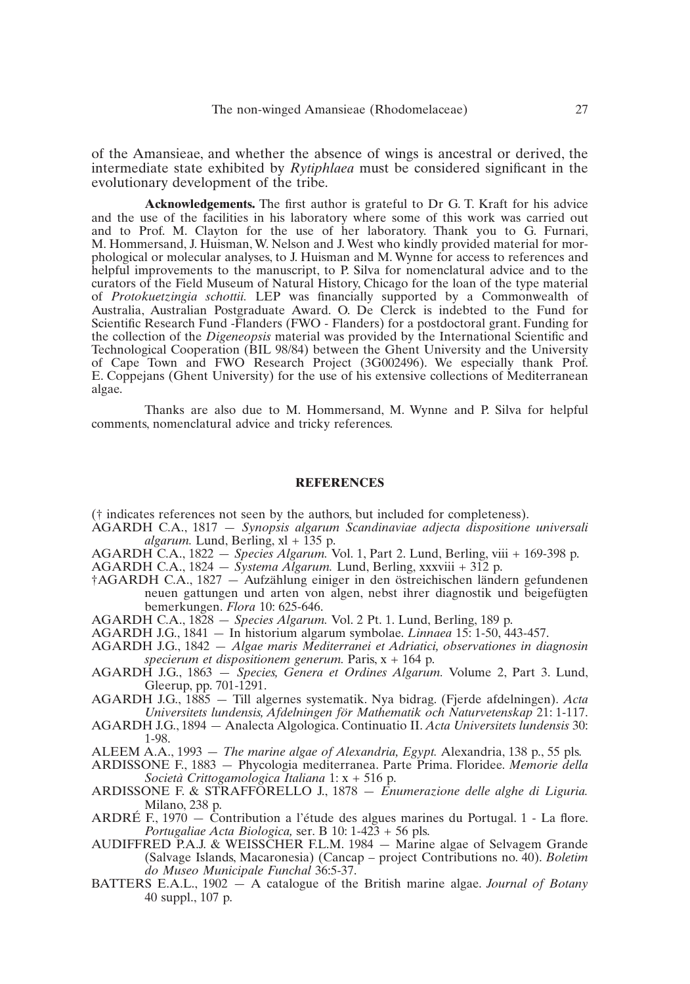of the Amansieae, and whether the absence of wings is ancestral or derived, the intermediate state exhibited by *Rytiphlaea* must be considered significant in the evolutionary development of the tribe.

**Acknowledgements.** The first author is grateful to Dr G. T. Kraft for his advice and the use of the facilities in his laboratory where some of this work was carried out and to Prof. M. Clayton for the use of her laboratory. Thank you to G. Furnari, M. Hommersand, J. Huisman, W. Nelson and J. West who kindly provided material for morphological or molecular analyses, to J. Huisman and M. Wynne for access to references and helpful improvements to the manuscript, to P. Silva for nomenclatural advice and to the curators of the Field Museum of Natural History, Chicago for the loan of the type material of *Protokuetzingia schottii.* LEP was financially supported by a Commonwealth of Australia, Australian Postgraduate Award. O. De Clerck is indebted to the Fund for Scientific Research Fund -Flanders (FWO - Flanders) for a postdoctoral grant. Funding for the collection of the *Digeneopsis* material was provided by the International Scientific and Technological Cooperation (BIL 98/84) between the Ghent University and the University of Cape Town and FWO Research Project (3G002496). We especially thank Prof. E. Coppejans (Ghent University) for the use of his extensive collections of Mediterranean algae.

Thanks are also due to M. Hommersand, M. Wynne and P. Silva for helpful comments, nomenclatural advice and tricky references.

#### **REFERENCES**

(† indicates references not seen by the authors, but included for completeness).

- AGARDH C.A., 1817 *Synopsis algarum Scandinaviae adjecta dispositione universali algarum.* Lund, Berling,  $x\mathbf{l} + \tilde{1}35$  p.
- AGARDH C.A., 1822 *Species Algarum.* Vol. 1, Part 2. Lund, Berling, viii + 169-398 p.
- AGARDH C.A., 1824 *Systema Algarum.* Lund, Berling, xxxviii +  $312$  p.
- †AGARDH C.A., 1827 Aufzählung einiger in den östreichischen ländern gefundenen neuen gattungen und arten von algen, nebst ihrer diagnostik und beigefügten bemerkungen. *Flora* 10: 625-646.
- AGARDH C.A., 1828 *Species Algarum.* Vol. 2 Pt. 1. Lund, Berling, 189 p.
- AGARDH J.G., 1841 In historium algarum symbolae. *Linnaea* 15: 1-50, 443-457.
- AGARDH J.G., 1842 *Algae maris Mediterranei et Adriatici, observationes in diagnosin specierum et dispositionem generum.* Paris, x + 164 p.
- AGARDH J.G., 1863 *Species, Genera et Ordines Algarum.* Volume 2, Part 3. Lund, Gleerup, pp. 701-1291.
- AGARDH J.G., 1885 Till algernes systematik. Nya bidrag. (Fjerde afdelningen). *Acta Universitets lundensis, Afdelningen för Mathematik och Naturvetenskap* 21: 1-117.
- AGARDH J.G., 1894 Analecta Algologica. Continuatio II. *Acta Universitets lundensis* 30: 1-98.
- ALEEM A.A., 1993 *The marine algae of Alexandria, Egypt.* Alexandria, 138 p., 55 pls.
- ARDISSONE F., 1883 Phycologia mediterranea. Parte Prima. Floridee. *Memorie della Società Crittogamologica Italiana* 1: x + 516 p.
- ARDISSONE F. & STRAFFORELLO J., 1878 *Enumerazione delle alghe di Liguria.* Milano, 238 p.
- ARDRÉ F., 1970 Contribution a l'étude des algues marines du Portugal. 1 La flore. *Portugaliae Acta Biologica,* ser. B 10: 1-423 + 56 pls.
- AUDIFFRED P.A.J. & WEISSCHER F.L.M. 1984 Marine algae of Selvagem Grande (Salvage Islands, Macaronesia) (Cancap – project Contributions no. 40). *Boletim do Museo Municipale Funchal* 36:5-37.
- BATTERS E.A.L., 1902 A catalogue of the British marine algae. *Journal of Botany*  40 suppl., 107 p.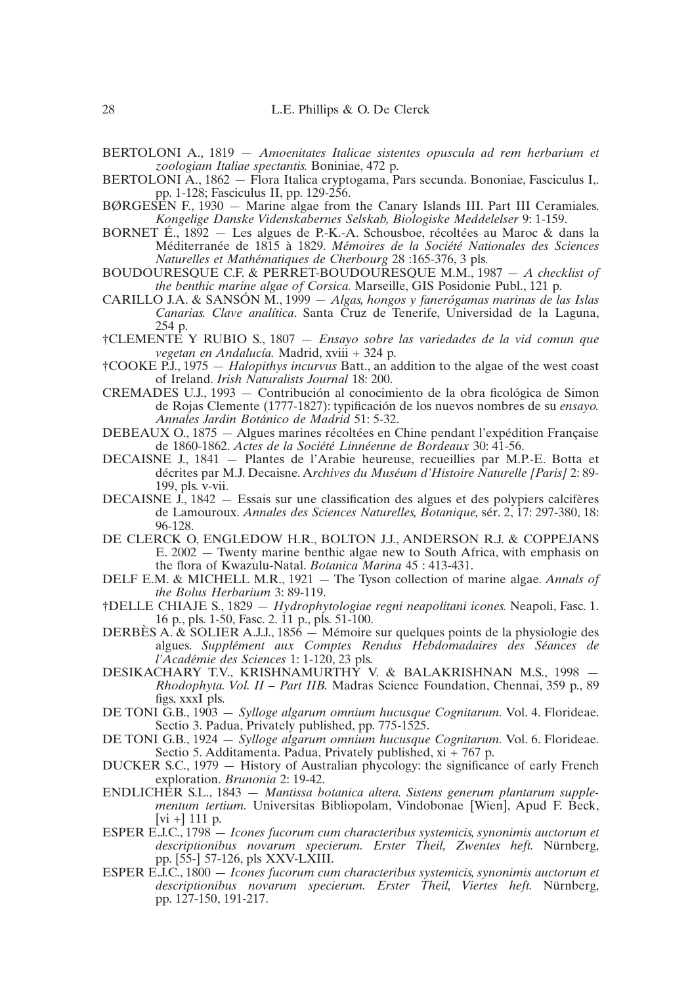- BERTOLONI A., 1819 *Amoenitates Italicae sistentes opuscula ad rem herbarium et zoologiam Italiae spectantis.* Boniniae, 472 p.
- BERTOLONI A., 1862 Flora Italica cryptogama, Pars secunda. Bononiae, Fasciculus I,. pp. 1-128; Fasciculus II, pp. 129-256.
- BØRGESEN F., 1930 Marine algae from the Canary Islands III. Part III Ceramiales. *Kongelige Danske Videnskabernes Selskab, Biologiske Meddelelser* 9: 1-159.
- BORNET É., 1892 Les algues de P.-K.-A. Schousboe, récoltées au Maroc & dans la Méditerranée de 1815 à 1829. *Mémoires de la Société Nationales des Sciences Naturelles et Mathématiques de Cherbourg* 28 :165-376, 3 pls.
- BOUDOURESQUE C.F. & PERRET-BOUDOURESQUE M.M., 1987 *A checklist of the benthic marine algae of Corsica.* Marseille, GIS Posidonie Publ., 121 p.
- CARILLO J.A. & SANSÓN M., 1999 *Algas, hongos y fanerógamas marinas de las Islas Canarias. Clave analítica*. Santa Cruz de Tenerife, Universidad de la Laguna, 254 p.
- †CLEMENTE Y RUBIO S., 1807 *Ensayo sobre las variedades de la vid comun que vegetan en Andalucía.* Madrid, xviii + 324 p.
- †COOKE P.J., 1975 *Halopithys incurvus* Batt., an addition to the algae of the west coast of Ireland. *Irish Naturalists Journal* 18: 200.
- CREMADES U.J., 1993 Contribución al conocimiento de la obra ficológica de Simon de Rojas Clemente (1777-1827): typificación de los nuevos nombres de su *ensayo. Annales Jardin Botánico de Madrid* 51: 5-32.
- DEBEAUX O., 1875 Algues marines récoltées en Chine pendant l'expédition Française de 1860-1862. *Actes de la Société Linnéenne de Bordeaux* 30: 41-56.
- DECAISNE J., 1841 Plantes de l'Arabie heureuse, recueillies par M.P.-E. Botta et décrites par M.J. Decaisne. A*rchives du Muséum d'Histoire Naturelle [Paris]* 2: 89- 199, pls. v-vii.
- DECAISNE J., 1842 Essais sur une classification des algues et des polypiers calcifères de Lamouroux. *Annales des Sciences Naturelles, Botanique,* sér. 2, 17: 297-380, 18: 96-128.
- DE CLERCK O, ENGLEDOW H.R., BOLTON J.J., ANDERSON R.J. & COPPEJANS E. 2002 — Twenty marine benthic algae new to South Africa, with emphasis on the flora of Kwazulu-Natal. *Botanica Marina* 45 : 413-431.
- DELF E.M. & MICHELL M.R., 1921 The Tyson collection of marine algae. *Annals of the Bolus Herbarium* 3: 89-119.
- †DELLE CHIAJE S., 1829 *Hydrophytologiae regni neapolitani icones.* Neapoli, Fasc. 1. 16 p., pls. 1-50, Fasc. 2. 11 p., pls. 51-100.
- DERBÈS A. & SOLIER A.J.J., 1856 Mémoire sur quelques points de la physiologie des algues. *Supplément aux Comptes Rendus Hebdomadaires des Séances de l'Académie des Sciences* 1: 1-120, 23 pls.
- DESIKACHARY T.V., KRISHNAMURTHY V. & BALAKRISHNAN M.S., 1998 *Rhodophyta. Vol. II – Part IIB.* Madras Science Foundation, Chennai, 359 p., 89 figs, xxxI pls.
- DE TONI G.B., 1903 *Sylloge algarum omnium hucusque Cognitarum.* Vol. 4. Florideae. Sectio 3. Padua, Privately published, pp. 775-1525.
- DE TONI G.B., 1924 *Sylloge algarum omnium hucusque Cognitarum.* Vol. 6. Florideae. Sectio 5. Additamenta. Padua, Privately published, xi + 767 p.
- DUCKER S.C., 1979 History of Australian phycology: the significance of early French exploration. *Brunonia* 2: 19-42.
- ENDLICHER S.L., 1843 *Mantissa botanica altera. Sistens generum plantarum supplementum tertium.* Universitas Bibliopolam, Vindobonae [Wien], Apud F. Beck, [vi +] 111 p.
- ESPER E.J.C., 1798 *Icones fucorum cum characteribus systemicis, synonimis auctorum et descriptionibus novarum specierum. Erster Theil, Zwentes heft.* Nürnberg, pp. [55-] 57-126, pls XXV-LXIII.
- ESPER E.J.C., 1800 *Icones fucorum cum characteribus systemicis, synonimis auctorum et descriptionibus novarum specierum. Erster Theil, Viertes heft.* Nürnberg, pp. 127-150, 191-217.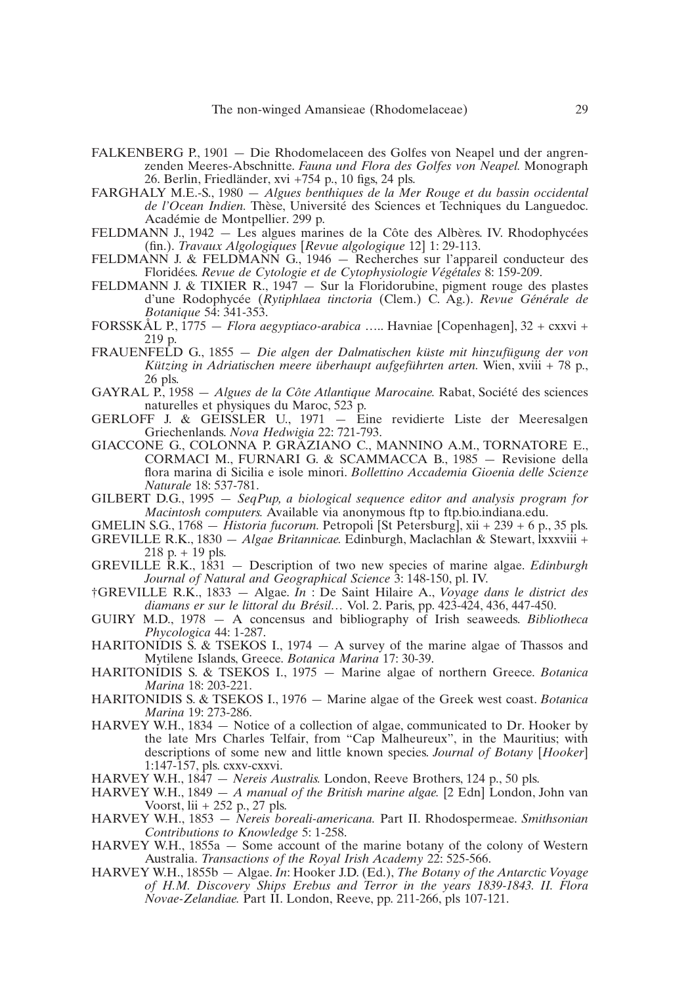- FALKENBERG P., 1901 Die Rhodomelaceen des Golfes von Neapel und der angrenzenden Meeres-Abschnitte. *Fauna und Flora des Golfes von Neapel.* Monograph 26. Berlin, Friedländer, xvi +754 p., 10 figs, 24 pls.
- FARGHALY M.E.-S., 1980 *Algues benthiques de la Mer Rouge et du bassin occidental de l'Ocean Indien.* Thèse, Université des Sciences et Techniques du Languedoc. Académie de Montpellier. 299 p.
- FELDMANN J., 1942 Les algues marines de la Côte des Albères. IV. Rhodophycées (fin.). *Travaux Algologiques* [*Revue algologique* 12] 1: 29-113.
- FELDMANN J. & FELDMANN G., 1946 Recherches sur l'appareil conducteur des Floridées. *Revue de Cytologie et de Cytophysiologie Végétales* 8: 159-209.
- FELDMANN J. & TIXIER R., 1947 Sur la Floridorubine, pigment rouge des plastes d'une Rodophycée (*Rytiphlaea tinctoria* (Clem.) C. Ag.). *Revue Générale de Botanique* 54: 341-353.
- FORSSKÅL P., 1775 *Flora aegyptiaco-arabica* ….. Havniae [Copenhagen], 32 + cxxvi + 219 p.
- FRAUENFELD G., 1855 *Die algen der Dalmatischen küste mit hinzufügung der von Kützing in Adriatischen meere überhaupt aufgeführten arten.* Wien, xviii + 78 p., 26 pls.
- GAYRAL P., 1958 *Algues de la Côte Atlantique Marocaine.* Rabat, Société des sciences naturelles et physiques du Maroc, 523 p.
- GERLOFF J. & GEISSLER U., 1971 Eine revidierte Liste der Meeresalgen Griechenlands. *Nova Hedwigia* 22: 721-793.
- GIACCONE G., COLONNA P. GRAZIANO C., MANNINO A.M., TORNATORE E., CORMACI M., FURNARI G. & SCAMMACCA B., 1985 — Revisione della flora marina di Sicilia e isole minori. *Bollettino Accademia Gioenia delle Scienze Naturale* 18: 537-781.
- GILBERT D.G., 1995 *SeqPup, a biological sequence editor and analysis program for Macintosh computers.* Available via anonymous ftp to ftp.bio.indiana.edu.
- GMELIN S.G., 1768 *Historia fucorum.* Petropoli [St Petersburg], xii + 239 + 6 p., 35 pls. GREVILLE R.K., 1830 — *Algae Britannicae.* Edinburgh, Maclachlan & Stewart, lxxxviii +  $218 p. + 19 p$ ls.
- GREVILLE R.K., 1831 Description of two new species of marine algae. *Edinburgh Journal of Natural and Geographical Science* 3: 148-150, pl. IV.
- †GREVILLE R.K., 1833 Algae. *In* : De Saint Hilaire A., *Voyage dans le district des diamans er sur le littoral du Brésil…* Vol. 2. Paris, pp. 423-424, 436, 447-450.
- GUIRY M.D., 1978 A concensus and bibliography of Irish seaweeds. *Bibliotheca Phycologica* 44: 1-287.
- HARITONIDIS S. & TSEKOS I., 1974 A survey of the marine algae of Thassos and Mytilene Islands, Greece. *Botanica Marina* 17: 30-39.
- HARITONIDIS S. & TSEKOS I., 1975 Marine algae of northern Greece. *Botanica Marina* 18: 203-221.
- HARITONIDIS S. & TSEKOS I., 1976 Marine algae of the Greek west coast. *Botanica Marina* 19: 273-286.
- HARVEY W.H., 1834 Notice of a collection of algae, communicated to Dr. Hooker by the late Mrs Charles Telfair, from "Cap Malheureux", in the Mauritius; with descriptions of some new and little known species. *Journal of Botany* [*Hooker*] 1:147-157, pls. cxxv-cxxvi.
- HARVEY W.H., 1847 *Nereis Australis.* London, Reeve Brothers, 124 p., 50 pls.
- HARVEY W.H., 1849 *A manual of the British marine algae.* [2 Edn] London, John van Voorst, lii + 252 p., 27 pls.
- HARVEY W.H., 1853 *Nereis boreali-americana.* Part II. Rhodospermeae. *Smithsonian Contributions to Knowledge* 5: 1-258.
- HARVEY W.H., 1855a Some account of the marine botany of the colony of Western Australia. *Transactions of the Royal Irish Academy* 22: 525-566.
- HARVEY W.H., 1855b Algae. *In*: Hooker J.D. (Ed.), *The Botany of the Antarctic Voyage of H.M. Discovery Ships Erebus and Terror in the years 1839-1843. II. Flora Novae-Zelandiae.* Part II. London, Reeve, pp. 211-266, pls 107-121.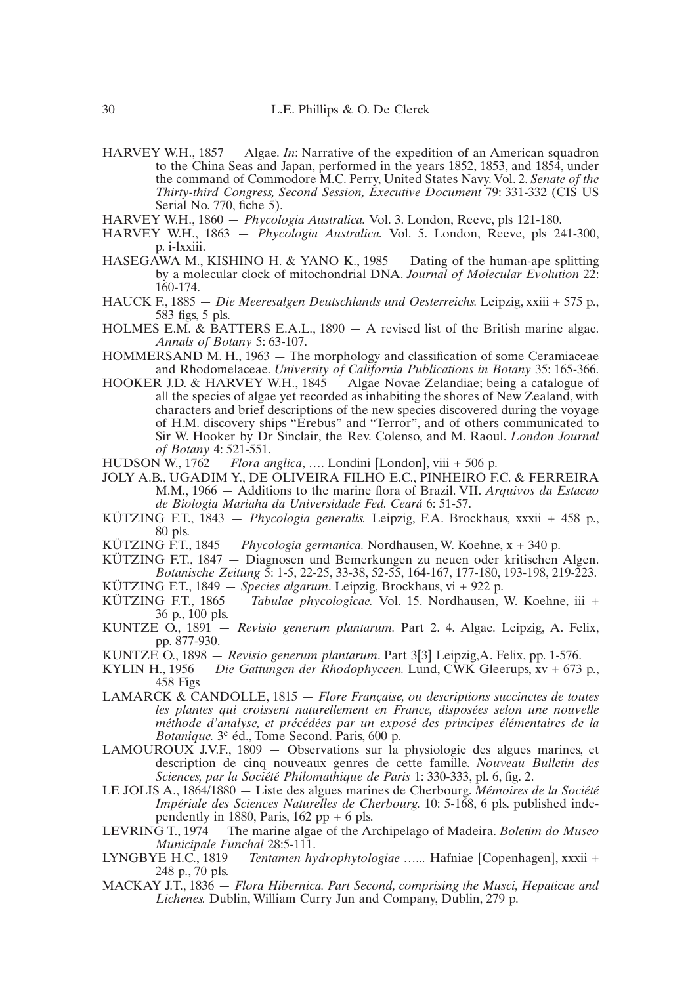- HARVEY W.H., 1857 Algae. *In*: Narrative of the expedition of an American squadron to the China Seas and Japan, performed in the years 1852, 1853, and 1854, under the command of Commodore M.C. Perry, United States Navy. Vol. 2. *Senate of the Thirty-third Congress, Second Session, Executive Document* 79: 331-332 (CIS US Serial No. 770, fiche 5).
- HARVEY W.H., 1860 *Phycologia Australica.* Vol. 3. London, Reeve, pls 121-180.
- HARVEY W.H., 1863 *Phycologia Australica.* Vol. 5. London, Reeve, pls 241-300, p. i-lxxiii.
- HASEGAWA M., KISHINO H. & YANO K., 1985 Dating of the human-ape splitting by a molecular clock of mitochondrial DNA. *Journal of Molecular Evolution* 22: 160-174.
- HAUCK F., 1885 *Die Meeresalgen Deutschlands und Oesterreichs.* Leipzig, xxiii + 575 p., 583 figs, 5 pls.
- HOLMES E.M. & BATTERS E.A.L., 1890 A revised list of the British marine algae. *Annals of Botany* 5: 63-107.
- HOMMERSAND M. H., 1963 The morphology and classification of some Ceramiaceae and Rhodomelaceae. *University of California Publications in Botany* 35: 165-366.
- HOOKER J.D. & HARVEY W.H., 1845 Algae Novae Zelandiae; being a catalogue of all the species of algae yet recorded as inhabiting the shores of New Zealand, with characters and brief descriptions of the new species discovered during the voyage of H.M. discovery ships "Erebus" and "Terror", and of others communicated to Sir W. Hooker by Dr Sinclair, the Rev. Colenso, and M. Raoul. *London Journal of Botany* 4: 521-551.
- HUDSON W., 1762 *Flora anglica*, …. Londini [London], viii + 506 p.
- JOLY A.B., UGADIM Y., DE OLIVEIRA FILHO E.C., PINHEIRO F.C. & FERREIRA M.M., 1966 — Additions to the marine flora of Brazil. VII. *Arquivos da Estacao de Biologia Mariaha da Universidade Fed. Ceará* 6: 51-57.
- KÜTZING F.T., 1843 *Phycologia generalis.* Leipzig, F.A. Brockhaus, xxxii + 458 p., 80 pls.
- KÜTZING F.T., 1845 *Phycologia germanica.* Nordhausen, W. Koehne, x + 340 p.
- KÜTZING F.T., 1847 Diagnosen und Bemerkungen zu neuen oder kritischen Algen. *Botanische Zeitung* 5: 1-5, 22-25, 33-38, 52-55, 164-167, 177-180, 193-198, 219-223.
- KÜTZING F.T., 1849 *Species algarum*. Leipzig, Brockhaus, vi + 922 p.
- KÜTZING F.T., 1865 *Tabulae phycologicae.* Vol. 15. Nordhausen, W. Koehne, iii + 36 p., 100 pls.
- KUNTZE O., 1891 *Revisio generum plantarum.* Part 2. 4. Algae. Leipzig, A. Felix, pp. 877-930.
- KUNTZE O., 1898 *Revisio generum plantarum*. Part 3[3] Leipzig,A. Felix, pp. 1-576.
- KYLIN H., 1956 *Die Gattungen der Rhodophyceen.* Lund, CWK Gleerups, xv + 673 p., 458 Figs
- LAMARCK & CANDOLLE, 1815 *Flore Française, ou descriptions succinctes de toutes les plantes qui croissent naturellement en France, disposées selon une nouvelle méthode d'analyse, et précédées par un exposé des principes élémentaires de la Botanique.* 3e éd., Tome Second. Paris, 600 p.
- LAMOUROUX J.V.F., 1809 Observations sur la physiologie des algues marines, et description de cinq nouveaux genres de cette famille. *Nouveau Bulletin des Sciences, par la Société Philomathique de Paris* 1: 330-333, pl. 6, fig. 2.
- LE JOLIS A., 1864/1880 Liste des algues marines de Cherbourg. *Mémoires de la Société Impériale des Sciences Naturelles de Cherbourg.* 10: 5-168, 6 pls. published independently in 1880, Paris,  $162$  pp  $+ 6$  pls.
- LEVRING T., 1974 The marine algae of the Archipelago of Madeira. *Boletim do Museo Municipale Funchal* 28:5-111.
- LYNGBYE H.C., 1819 *Tentamen hydrophytologiae …...* Hafniae [Copenhagen], xxxii + 248 p., 70 pls.
- MACKAY J.T., 1836 *Flora Hibernica. Part Second, comprising the Musci, Hepaticae and Lichenes.* Dublin, William Curry Jun and Company, Dublin, 279 p.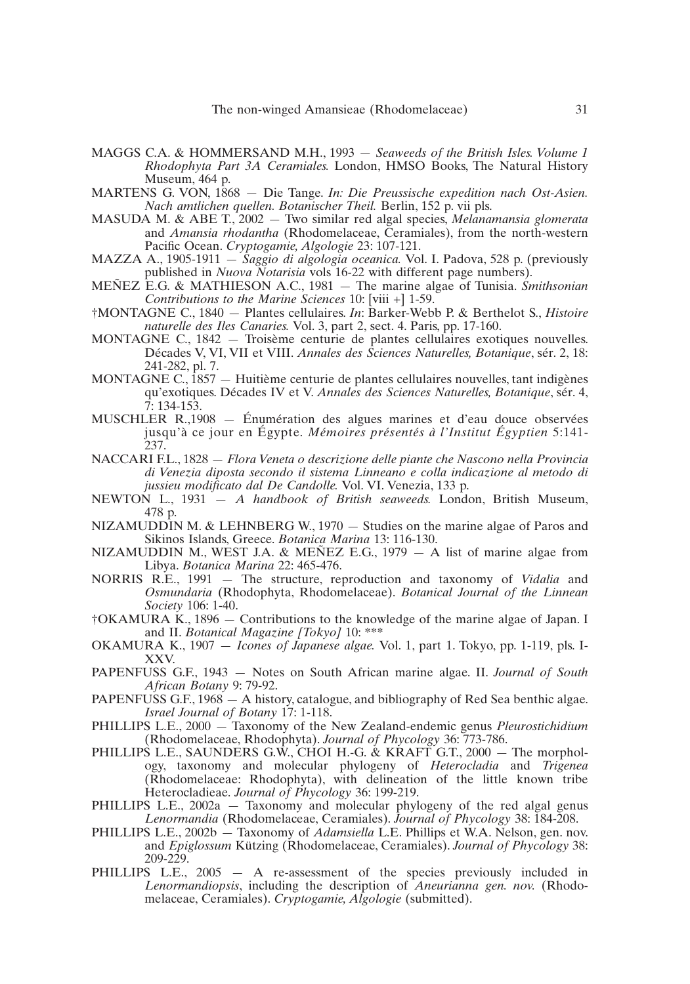- MAGGS C.A. & HOMMERSAND M.H., 1993 *Seaweeds of the British Isles. Volume 1 Rhodophyta Part 3A Ceramiales.* London, HMSO Books, The Natural History Museum, 464 p.
- MARTENS G. VON, 1868 Die Tange. *In: Die Preussische expedition nach Ost-Asien. Nach amtlichen quellen. Botanischer Theil.* Berlin, 152 p. vii pls.
- MASUDA M. & ABE T., 2002 Two similar red algal species, *Melanamansia glomerata* and *Amansia rhodantha* (Rhodomelaceae, Ceramiales), from the north-western Pacific Ocean. *Cryptogamie, Algologie* 23: 107-121.
- MAZZA A., 1905-1911 *Saggio di algologia oceanica.* Vol. I. Padova, 528 p. (previously published in *Nuova Notarisia* vols 16-22 with different page numbers).
- MEÑEZ E.G. & MATHIESON A.C., 1981 The marine algae of Tunisia. *Smithsonian Contributions to the Marine Sciences* 10: [viii +] 1-59.
- †MONTAGNE C., 1840 Plantes cellulaires. *In*: Barker-Webb P. & Berthelot S., *Histoire naturelle des Iles Canaries.* Vol. 3, part 2, sect. 4. Paris, pp. 17-160.
- MONTAGNE C., 1842 Troisème centurie de plantes cellulaires exotiques nouvelles. Décades V, VI, VII et VIII. *Annales des Sciences Naturelles, Botanique*, sér. 2, 18: 241-282, pl. 7.
- MONTAGNE C.,  $1857$  Huitième centurie de plantes cellulaires nouvelles, tant indigènes qu'exotiques. Décades IV et V. *Annales des Sciences Naturelles, Botanique*, sér. 4, 7: 134-153.
- MUSCHLER R.,1908 Énumération des algues marines et d'eau douce observées jusqu'à ce jour en Égypte. *Mémoires présentés à l'Institut Égyptien* 5:141- 237.
- NACCARI F.L., 1828 *Flora Veneta o descrizione delle piante che Nascono nella Provincia di Venezia diposta secondo il sistema Linneano e colla indicazione al metodo di jussieu modificato dal De Candolle.* Vol. VI. Venezia, 133 p.
- NEWTON L., 1931 *A handbook of British seaweeds.* London, British Museum, 478 p.
- NIZAMUDDIN M. & LEHNBERG W., 1970 Studies on the marine algae of Paros and Sikinos Islands, Greece. *Botanica Marina* 13: 116-130.
- NIZAMUDDIN M., WEST J.A. & MEÑEZ E.G., 1979  $-$  A list of marine algae from Libya. *Botanica Marina* 22: 465-476.
- NORRIS R.E., 1991 The structure, reproduction and taxonomy of *Vidalia* and *Osmundaria* (Rhodophyta, Rhodomelaceae). *Botanical Journal of the Linnean Society* 106: 1-40.
- †OKAMURA K., 1896 Contributions to the knowledge of the marine algae of Japan. I and II. *Botanical Magazine [Tokyo]* 10: \*\*\*
- OKAMURA K., 1907 *Icones of Japanese algae.* Vol. 1, part 1. Tokyo, pp. 1-119, pls. I-XXV.
- PAPENFUSS G.F., 1943 Notes on South African marine algae. II. *Journal of South African Botany* 9: 79-92.
- PAPENFUSS G.F., 1968 A history, catalogue, and bibliography of Red Sea benthic algae. *Israel Journal of Botany* 17: 1-118.
- PHILLIPS L.E., 2000 Taxonomy of the New Zealand-endemic genus *Pleurostichidium* (Rhodomelaceae, Rhodophyta). *Journal of Phycology* 36: 773-786.
- PHILLIPS L.E., SAUNDERS G.W., CHOI H.-G. & KRAFT G.T., 2000 The morphology, taxonomy and molecular phylogeny of *Heterocladia* and *Trigenea* (Rhodomelaceae: Rhodophyta), with delineation of the little known tribe Heterocladieae. *Journal of Phycology* 36: 199-219.
- PHILLIPS L.E., 2002a Taxonomy and molecular phylogeny of the red algal genus *Lenormandia* (Rhodomelaceae, Ceramiales). *Journal of Phycology* 38: 184-208.
- PHILLIPS L.E., 2002b Taxonomy of *Adamsiella* L.E. Phillips et W.A. Nelson, gen. nov. and *Epiglossum* Kützing (Rhodomelaceae, Ceramiales). *Journal of Phycology* 38: 209-229.
- PHILLIPS L.E., 2005 A re-assessment of the species previously included in *Lenormandiopsis*, including the description of *Aneurianna gen. nov.* (Rhodomelaceae, Ceramiales). *Cryptogamie, Algologie* (submitted).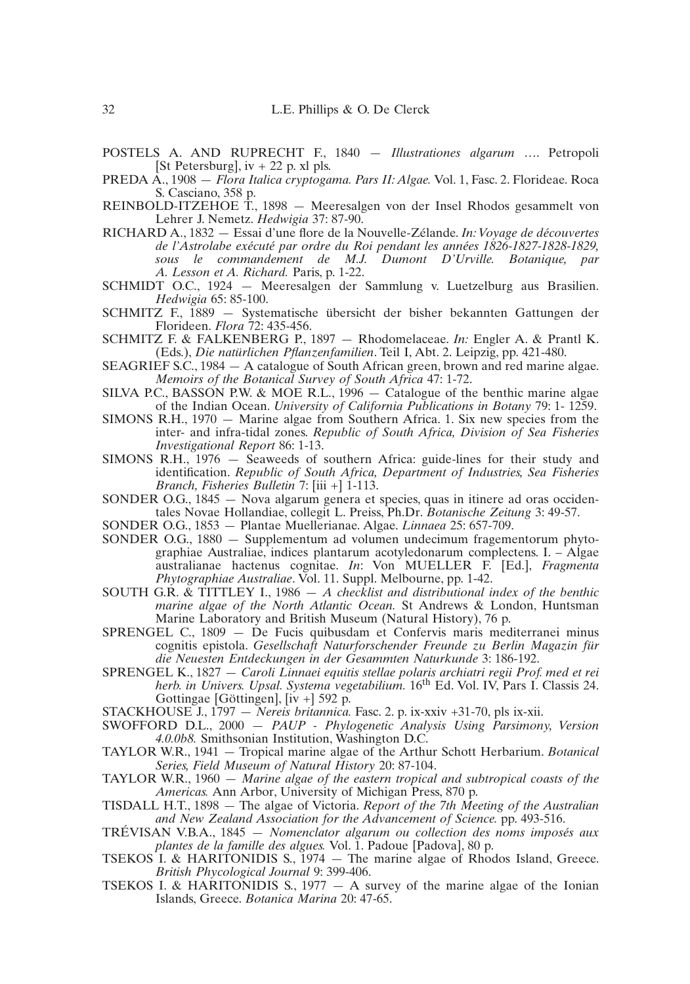- POSTELS A. AND RUPRECHT F., 1840 *Illustrationes algarum* …. Petropoli [St Petersburg],  $iv + 22$  p. xl pls.
- PREDA A., 1908 *Flora Italica cryptogama. Pars II: Algae.* Vol. 1, Fasc. 2. Florideae. Roca S. Casciano, 358 p.
- REINBOLD-ITZEHOE T., 1898 Meeresalgen von der Insel Rhodos gesammelt von Lehrer J. Nemetz. *Hedwigia* 37: 87-90.
- RICHARD A., 1832 Essai d'une flore de la Nouvelle-Zélande. *In: Voyage de découvertes de l'Astrolabe exécuté par ordre du Roi pendant les années 1826-1827-1828-1829, sous le commandement de M.J. Dumont D'Urville. Botanique, par A. Lesson et A. Richard.* Paris, p. 1-22.
- SCHMIDT O.C., 1924 Meeresalgen der Sammlung v. Luetzelburg aus Brasilien. *Hedwigia* 65: 85-100.
- SCHMITZ F., 1889 Systematische übersicht der bisher bekannten Gattungen der Florideen. *Flora* 72: 435-456.
- SCHMITZ F. & FALKENBERG P., 1897 Rhodomelaceae. *In:* Engler A. & Prantl K. (Eds.), *Die natürlichen Pflanzenfamilien*. Teil I, Abt. 2. Leipzig, pp. 421-480.
- SEAGRIEF S.C., 1984 A catalogue of South African green, brown and red marine algae. *Memoirs of the Botanical Survey of South Africa* 47: 1-72.
- SILVA P.C., BASSON P.W. & MOE R.L.,  $1996 -$  Catalogue of the benthic marine algae of the Indian Ocean. *University of California Publications in Botany* 79: 1- 1259.
- SIMONS R.H., 1970 Marine algae from Southern Africa. 1. Six new species from the inter- and infra-tidal zones. *Republic of South Africa, Division of Sea Fisheries Investigational Report* 86: 1-13.
- SIMONS R.H., 1976 Seaweeds of southern Africa: guide-lines for their study and identification. *Republic of South Africa, Department of Industries, Sea Fisheries Branch, Fisheries Bulletin* 7: [iii +] 1-113.
- SONDER O.G., 1845 Nova algarum genera et species, quas in itinere ad oras occidentales Novae Hollandiae, collegit L. Preiss, Ph.Dr. *Botanische Zeitung* 3: 49-57.
- SONDER O.G., 1853 Plantae Muellerianae. Algae. *Linnaea* 25: 657-709.
- SONDER O.G., 1880 Supplementum ad volumen undecimum fragementorum phytographiae Australiae, indices plantarum acotyledonarum complectens. I. – Algae australianae hactenus cognitae. *In*: Von MUELLER F. [Ed.], *Fragmenta Phytographiae Australiae*. Vol. 11. Suppl. Melbourne, pp. 1-42.
- SOUTH G.R. & TITTLEY I., 1986 *A checklist and distributional index of the benthic marine algae of the North Atlantic Ocean.* St Andrews & London, Huntsman Marine Laboratory and British Museum (Natural History), 76 p.
- SPRENGEL C., 1809 De Fucis quibusdam et Confervis maris mediterranei minus cognitis epistola. *Gesellschaft Naturforschender Freunde zu Berlin Magazin für die Neuesten Entdeckungen in der Gesammten Naturkunde* 3: 186-192.
- SPRENGEL K., 1827 *Caroli Linnaei equitis stellae polaris archiatri regii Prof. med et rei herb. in Univers. Upsal. Systema vegetabilium.* 16th Ed. Vol. IV, Pars I. Classis 24. Gottingae [Göttingen], [iv +] 592 p.
- STACKHOUSE J., 1797 *Nereis britannica.* Fasc. 2. p. ix-xxiv +31-70, pls ix-xii.
- SWOFFORD D.L., 2000 *PAUP Phylogenetic Analysis Using Parsimony, Version 4.0.0b8.* Smithsonian Institution, Washington D.C.
- TAYLOR W.R., 1941 Tropical marine algae of the Arthur Schott Herbarium. *Botanical Series, Field Museum of Natural History* 20: 87-104.
- TAYLOR W.R., 1960 *Marine algae of the eastern tropical and subtropical coasts of the Americas.* Ann Arbor, University of Michigan Press, 870 p.
- TISDALL H.T., 1898 The algae of Victoria. *Report of the 7th Meeting of the Australian and New Zealand Association for the Advancement of Science.* pp. 493-516.
- TRÉVISAN V.B.A., 1845 *Nomenclator algarum ou collection des noms imposés aux plantes de la famille des algues.* Vol. 1. Padoue [Padova], 80 p.
- TSEKOS I. & HARITONIDIS S., 1974 The marine algae of Rhodos Island, Greece. *British Phycological Journal* 9: 399-406.
- TSEKOS I. & HARITONIDIS S.,  $1977 A$  survey of the marine algae of the Ionian Islands, Greece. *Botanica Marina* 20: 47-65.